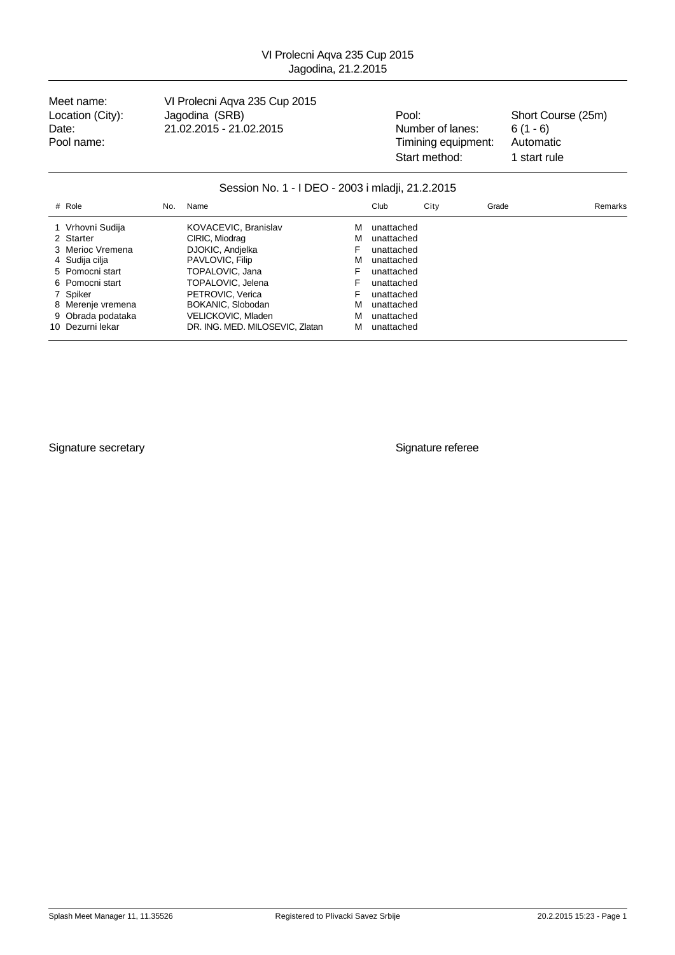Meet name: VI Prolecni Aqva 235 Cup 2015 Location (City): Jagodina (SRB) Pool: Pool: Short Course (25m) Date: 21.02.2015 - 21.02.2015 - 21.02.2015 Number of lanes: 6 (1 - 6)<br>Pool name: 21.02.2015 - 21.02.2015 - Timining equipment: Automatic

Pool name: Timining equipment: Start method: 1 start rule

### Session No. 1 - I DEO - 2003 i mladji, 21.2.2015

| # Role            | No. | Name                            |   | Club       | City | Grade | Remarks |
|-------------------|-----|---------------------------------|---|------------|------|-------|---------|
| 1 Vrhovni Sudija  |     | KOVACEVIC, Branislav            | м | unattached |      |       |         |
| 2 Starter         |     | CIRIC, Miodrag                  | м | unattached |      |       |         |
| 3 Merioc Vremena  |     | DJOKIC, Andielka                | F | unattached |      |       |         |
| 4 Sudija cilja    |     | PAVLOVIC, Filip                 | м | unattached |      |       |         |
| 5 Pomocni start   |     | TOPALOVIC, Jana                 | F | unattached |      |       |         |
| 6 Pomocni start   |     | TOPALOVIC, Jelena               | F | unattached |      |       |         |
| 7 Spiker          |     | PETROVIC, Verica                |   | unattached |      |       |         |
| 8 Merenje vremena |     | BOKANIC, Slobodan               | м | unattached |      |       |         |
| 9 Obrada podataka |     | VELICKOVIC, Mladen              | м | unattached |      |       |         |
| 10 Dezurni lekar  |     | DR. ING. MED. MILOSEVIC, Zlatan | м | unattached |      |       |         |

Signature secretary **Signature referee**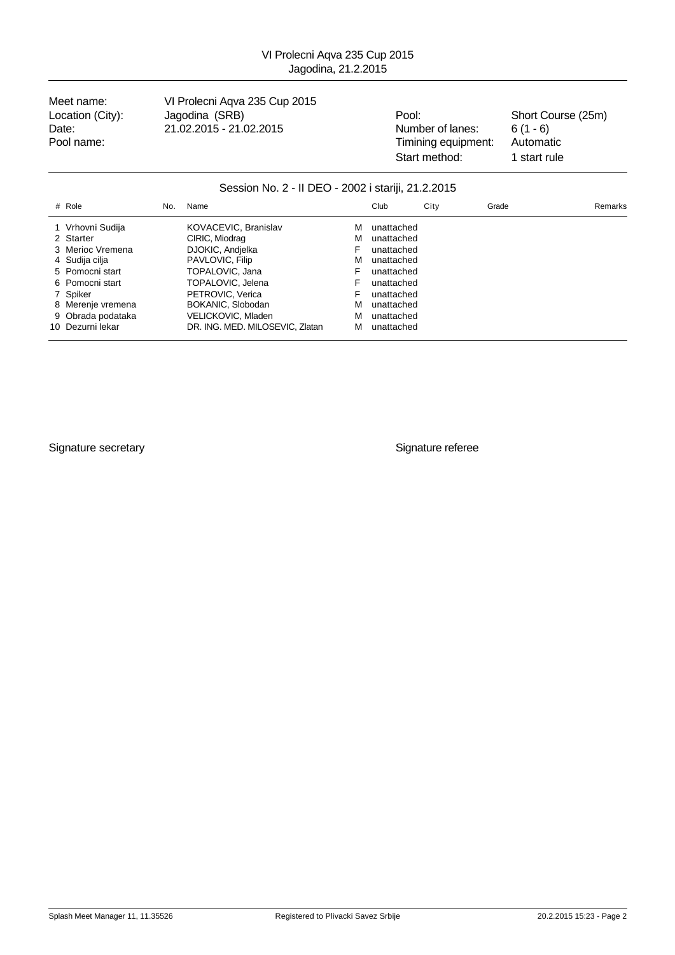Meet name: VI Prolecni Aqva 235 Cup 2015 Location (City): Jagodina (SRB) Pool: Pool: Short Course (25m)

Date: 21.02.2015 - 21.02.2015 - 21.02.2015 Number of lanes: 6 (1 - 6)<br>Pool name: 21.02.2015 - 21.02.2015 - Timining equipment: Automatic Pool name: Timining equipment: Start method: 1 start rule

### Session No. 2 - II DEO - 2002 i stariji, 21.2.2015

| # Role            | No. | Name                            |   | Club       | City | Grade | Remarks |
|-------------------|-----|---------------------------------|---|------------|------|-------|---------|
| 1 Vrhovni Sudija  |     | KOVACEVIC, Branislav            | м | unattached |      |       |         |
| 2 Starter         |     | CIRIC, Miodrag                  | м | unattached |      |       |         |
| 3 Merioc Vremena  |     | DJOKIC, Andielka                | F | unattached |      |       |         |
| 4 Sudija cilja    |     | PAVLOVIC, Filip                 | м | unattached |      |       |         |
| 5 Pomocni start   |     | TOPALOVIC, Jana                 | F | unattached |      |       |         |
| 6 Pomocni start   |     | TOPALOVIC, Jelena               | F | unattached |      |       |         |
| 7 Spiker          |     | PETROVIC, Verica                | F | unattached |      |       |         |
| 8 Merenje vremena |     | BOKANIC, Slobodan               | м | unattached |      |       |         |
| 9 Obrada podataka |     | VELICKOVIC, Mladen              | м | unattached |      |       |         |
| 10 Dezurni lekar  |     | DR. ING. MED. MILOSEVIC. Zlatan | м | unattached |      |       |         |

Signature secretary **Signature referee**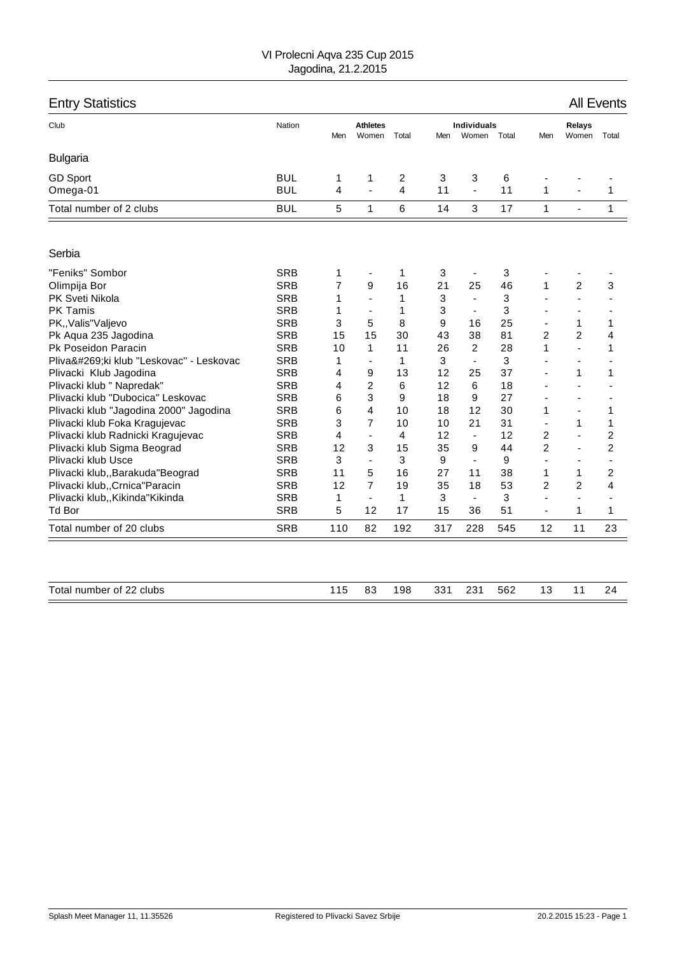| <b>Entry Statistics</b>                |            |     |                          |       |     |                             |       |                |                 | <b>All Events</b> |
|----------------------------------------|------------|-----|--------------------------|-------|-----|-----------------------------|-------|----------------|-----------------|-------------------|
| Club                                   | Nation     | Men | <b>Athletes</b><br>Women | Total | Men | <b>Individuals</b><br>Women | Total | Men            | Relays<br>Women | Total             |
| <b>Bulgaria</b>                        |            |     |                          |       |     |                             |       |                |                 |                   |
| <b>GD Sport</b>                        | <b>BUL</b> | 1   | 1                        | 2     | 3   | 3                           | 6     |                |                 |                   |
| Omega-01                               | <b>BUL</b> | 4   | ÷,                       | 4     | 11  | $\blacksquare$              | 11    | 1              |                 | 1                 |
| Total number of 2 clubs                | <b>BUL</b> | 5   | $\mathbf{1}$             | 6     | 14  | 3                           | 17    | $\mathbf{1}$   | $\blacksquare$  | $\mathbf{1}$      |
| Serbia                                 |            |     |                          |       |     |                             |       |                |                 |                   |
| "Feniks" Sombor                        | <b>SRB</b> | 1   | ٠                        | 1     | 3   | $\overline{\phantom{a}}$    | 3     |                |                 |                   |
| Olimpija Bor                           | <b>SRB</b> | 7   | 9                        | 16    | 21  | 25                          | 46    | 1              | $\overline{c}$  | 3                 |
| PK Sveti Nikola                        | <b>SRB</b> | 1   | L.                       | 1     | 3   | $\blacksquare$              | 3     |                | ä,              |                   |
| <b>PK Tamis</b>                        | <b>SRB</b> | 1   | $\overline{\phantom{a}}$ | 1     | 3   | $\blacksquare$              | 3     | ٠              | $\blacksquare$  |                   |
| PK,, Valis" Valjevo                    | <b>SRB</b> | 3   | 5                        | 8     | 9   | 16                          | 25    | $\blacksquare$ | 1               | 1                 |
| Pk Aqua 235 Jagodina                   | <b>SRB</b> | 15  | 15                       | 30    | 43  | 38                          | 81    | $\overline{2}$ | 2               | 4                 |
| Pk Poseidon Paracin                    | <b>SRB</b> | 10  | 1                        | 11    | 26  | $\overline{2}$              | 28    | 1              | $\overline{a}$  | 1                 |
| Plivački klub "Leskovac" - Leskovac    | <b>SRB</b> | 1   | $\blacksquare$           | 1     | 3   | $\blacksquare$              | 3     |                | $\blacksquare$  |                   |
| Plivacki Klub Jagodina                 | <b>SRB</b> | 4   | 9                        | 13    | 12  | 25                          | 37    |                | 1               | 1                 |
| Plivacki klub " Napredak"              | <b>SRB</b> | 4   | 2                        | 6     | 12  | 6                           | 18    |                | -               |                   |
| Plivacki klub "Dubocica" Leskovac      | <b>SRB</b> | 6   | 3                        | 9     | 18  | 9                           | 27    | $\blacksquare$ | $\blacksquare$  | $\blacksquare$    |
| Plivacki klub "Jagodina 2000" Jagodina | <b>SRB</b> | 6   | 4                        | 10    | 18  | 12                          | 30    | 1              | $\blacksquare$  | 1                 |
| Plivacki klub Foka Kragujevac          | <b>SRB</b> | 3   | $\overline{7}$           | 10    | 10  | 21                          | 31    |                | 1               | 1                 |
| Plivacki klub Radnicki Kragujevac      | <b>SRB</b> | 4   | ÷,                       | 4     | 12  | $\blacksquare$              | 12    | $\overline{c}$ | ÷,              | $\overline{c}$    |
| Plivacki klub Sigma Beograd            | <b>SRB</b> | 12  | 3                        | 15    | 35  | 9                           | 44    | $\overline{2}$ | $\blacksquare$  | $\overline{c}$    |
| Plivacki klub Usce                     | <b>SRB</b> | 3   | ÷,                       | 3     | 9   | $\blacksquare$              | 9     | $\blacksquare$ | $\blacksquare$  | $\blacksquare$    |
| Plivacki klub,, Barakuda "Beograd      | <b>SRB</b> | 11  | 5                        | 16    | 27  | 11                          | 38    | 1              | 1               | 2                 |
| Plivacki klub,, Crnica" Paracin        | <b>SRB</b> | 12  | 7                        | 19    | 35  | 18                          | 53    | $\overline{c}$ | 2               | 4                 |
| Plivacki klub,, Kikinda "Kikinda       | <b>SRB</b> | 1   | $\overline{\phantom{a}}$ | 1     | 3   | $\blacksquare$              | 3     | $\blacksquare$ | $\blacksquare$  |                   |
| <b>Td Bor</b>                          | <b>SRB</b> | 5   | 12                       | 17    | 15  | 36                          | 51    | ÷,             | $\mathbf{1}$    | 1                 |
| Total number of 20 clubs               | <b>SRB</b> | 110 | 82                       | 192   | 317 | 228                         | 545   | 12             | 11              | 23                |
|                                        |            |     |                          |       |     |                             |       |                |                 |                   |
| Total number of 22 clubs               |            | 115 | 83                       | 198   | 331 | 231                         | 562   | 13             | 11              | 24                |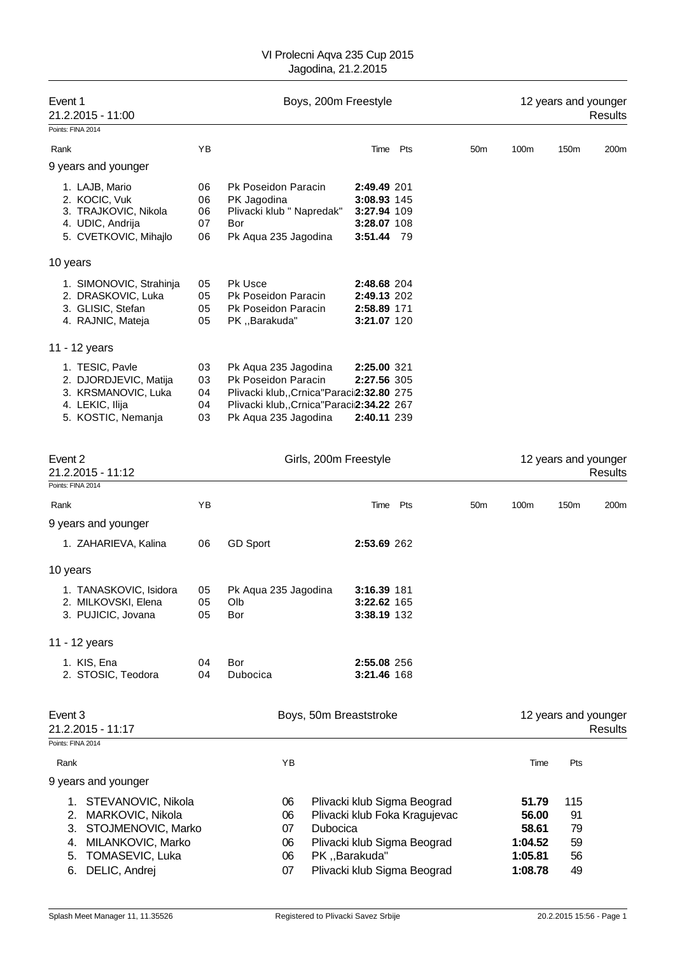| Event 1<br>21.2.2015 - 11:00                                                                                                                           |                            | Boys, 200m Freestyle                                                                                                                                           |                                                                        |                                                                                                                            | 12 years and younger<br>Results |                                                          |                                   |                                        |
|--------------------------------------------------------------------------------------------------------------------------------------------------------|----------------------------|----------------------------------------------------------------------------------------------------------------------------------------------------------------|------------------------------------------------------------------------|----------------------------------------------------------------------------------------------------------------------------|---------------------------------|----------------------------------------------------------|-----------------------------------|----------------------------------------|
| Points: FINA 2014                                                                                                                                      |                            |                                                                                                                                                                |                                                                        |                                                                                                                            |                                 |                                                          |                                   |                                        |
| Rank                                                                                                                                                   | ΥB                         |                                                                                                                                                                | Time Pts                                                               |                                                                                                                            | 50 <sub>m</sub>                 | 100m                                                     | 150m                              | 200m                                   |
| 9 years and younger                                                                                                                                    |                            |                                                                                                                                                                |                                                                        |                                                                                                                            |                                 |                                                          |                                   |                                        |
| 1. LAJB, Mario<br>2. KOCIC, Vuk<br>3. TRAJKOVIC, Nikola<br>4. UDIC, Andrija<br>5. CVETKOVIC, Mihajlo                                                   | 06<br>06<br>06<br>07<br>06 | Pk Poseidon Paracin<br>PK Jagodina<br>Plivacki klub " Napredak"<br>Bor<br>Pk Aqua 235 Jagodina                                                                 | 2:49.49 201<br>3:08.93 145<br>3:27.94 109<br>3:28.07 108<br>3:51.44 79 |                                                                                                                            |                                 |                                                          |                                   |                                        |
| 10 years                                                                                                                                               |                            |                                                                                                                                                                |                                                                        |                                                                                                                            |                                 |                                                          |                                   |                                        |
| 1. SIMONOVIC, Strahinja<br>2. DRASKOVIC, Luka<br>3. GLISIC, Stefan<br>4. RAJNIC, Mateja                                                                | 05<br>05<br>05<br>05       | <b>Pk Usce</b><br>Pk Poseidon Paracin<br>Pk Poseidon Paracin<br>PK,,Barakuda"                                                                                  | <b>2:48.68 204</b><br>2:49.13 202<br>2:58.89 171<br>3:21.07 120        |                                                                                                                            |                                 |                                                          |                                   |                                        |
| 11 - 12 years                                                                                                                                          |                            |                                                                                                                                                                |                                                                        |                                                                                                                            |                                 |                                                          |                                   |                                        |
| 1. TESIC, Pavle<br>2. DJORDJEVIC, Matija<br>3. KRSMANOVIC, Luka<br>4. LEKIC, Ilija<br>5. KOSTIC, Nemanja                                               | 03<br>03<br>04<br>04<br>03 | Pk Aqua 235 Jagodina<br>Pk Poseidon Paracin<br>Plivacki klub,, Crnica "Paraci2:32.80 275<br>Plivacki klub,, Crnica "Paracii2:34.22 267<br>Pk Aqua 235 Jagodina | 2:25.00 321<br>2:27.56 305<br>2:40.11 239                              |                                                                                                                            |                                 |                                                          |                                   |                                        |
| Event 2<br>21.2.2015 - 11:12                                                                                                                           |                            | Girls, 200m Freestyle                                                                                                                                          |                                                                        |                                                                                                                            |                                 |                                                          |                                   | 12 years and younger<br>Results        |
| Points: FINA 2014                                                                                                                                      |                            |                                                                                                                                                                |                                                                        |                                                                                                                            |                                 |                                                          |                                   |                                        |
| Rank                                                                                                                                                   | YB                         |                                                                                                                                                                | Time Pts                                                               |                                                                                                                            | 50 <sub>m</sub>                 | 100m                                                     | 150m                              | 200m                                   |
| 9 years and younger                                                                                                                                    |                            |                                                                                                                                                                |                                                                        |                                                                                                                            |                                 |                                                          |                                   |                                        |
| 1. ZAHARIEVA, Kalina                                                                                                                                   | 06                         | <b>GD Sport</b>                                                                                                                                                | 2:53.69 262                                                            |                                                                                                                            |                                 |                                                          |                                   |                                        |
| 10 years                                                                                                                                               |                            |                                                                                                                                                                |                                                                        |                                                                                                                            |                                 |                                                          |                                   |                                        |
| 1. TANASKOVIC, Isidora<br>2. MILKOVSKI, Elena<br>3. PUJICIC, Jovana                                                                                    | 05<br>05<br>05             | Pk Aqua 235 Jagodina<br>Olb<br>Bor                                                                                                                             | 3:16.39 181<br>3:22.62 165<br>3:38.19 132                              |                                                                                                                            |                                 |                                                          |                                   |                                        |
| 11 - 12 years                                                                                                                                          |                            |                                                                                                                                                                |                                                                        |                                                                                                                            |                                 |                                                          |                                   |                                        |
| 1. KIS, Ena<br>2. STOSIC, Teodora                                                                                                                      | 04<br>04                   | Bor<br>Dubocica                                                                                                                                                | 2:55.08 256<br>3:21.46 168                                             |                                                                                                                            |                                 |                                                          |                                   |                                        |
| Event 3<br>21.2.2015 - 11:17<br>Points: FINA 2014                                                                                                      |                            | Boys, 50m Breaststroke                                                                                                                                         |                                                                        |                                                                                                                            |                                 |                                                          |                                   | 12 years and younger<br><b>Results</b> |
| Rank                                                                                                                                                   |                            | YB                                                                                                                                                             |                                                                        |                                                                                                                            |                                 | Time                                                     | Pts                               |                                        |
| 9 years and younger                                                                                                                                    |                            |                                                                                                                                                                |                                                                        |                                                                                                                            |                                 |                                                          |                                   |                                        |
| 1. STEVANOVIC, Nikola<br>MARKOVIC, Nikola<br>2.<br>STOJMENOVIC, Marko<br>3.<br>MILANKOVIC, Marko<br>4.<br>TOMASEVIC, Luka<br>5.<br>DELIC, Andrej<br>6. |                            | 06<br>06<br>07<br>Dubocica<br>06<br>06<br>07                                                                                                                   | PK, , Barakuda"                                                        | Plivacki klub Sigma Beograd<br>Plivacki klub Foka Kragujevac<br>Plivacki klub Sigma Beograd<br>Plivacki klub Sigma Beograd |                                 | 51.79<br>56.00<br>58.61<br>1:04.52<br>1:05.81<br>1:08.78 | 115<br>91<br>79<br>59<br>56<br>49 |                                        |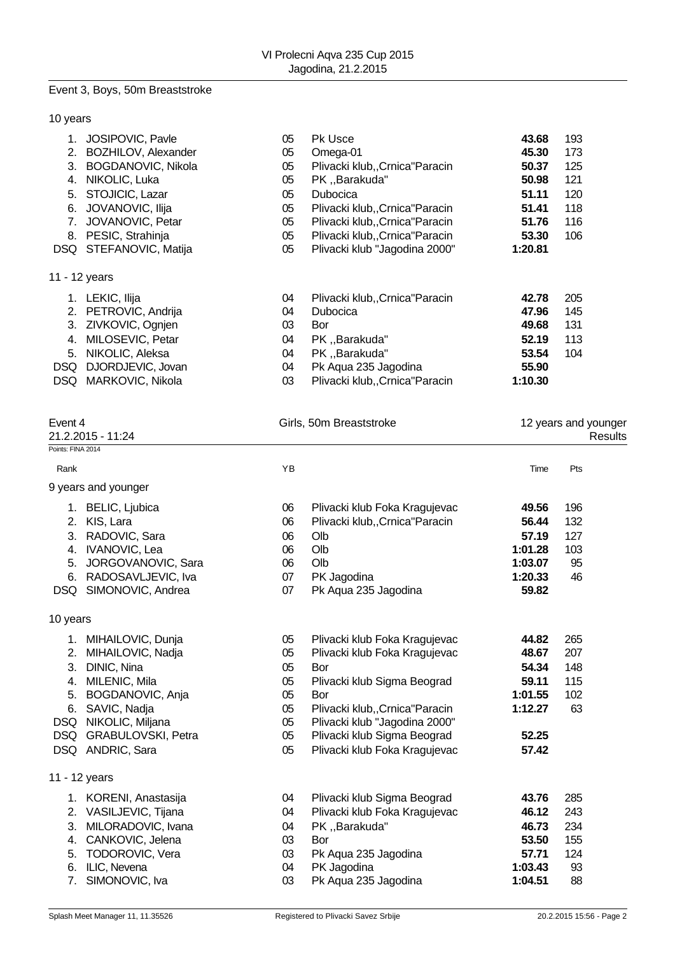# Event 3, Boys, 50m Breaststroke

### 10 years

| JOSIPOVIC, Pavle          | 05 | <b>Pk Usce</b>                  | 43.68                                                     | 193 |
|---------------------------|----|---------------------------------|-----------------------------------------------------------|-----|
| BOZHILOV, Alexander       | 05 | Omega-01                        | 45.30                                                     | 173 |
| <b>BOGDANOVIC, Nikola</b> | 05 | Plivacki klub,, Crnica "Paracin | 50.37                                                     | 125 |
| NIKOLIC, Luka             | 05 | PK "Barakuda"                   | 50.98                                                     | 121 |
| STOJICIC, Lazar           | 05 | <b>Dubocica</b>                 | 51.11                                                     | 120 |
| JOVANOVIC, Ilija          | 05 | Plivacki klub,, Crnica "Paracin | 51.41                                                     | 118 |
| JOVANOVIC, Petar          | 05 | Plivacki klub,, Crnica "Paracin | 51.76                                                     | 116 |
| PESIC, Strahinja          | 05 | Plivacki klub,, Crnica "Paracin | 53.30                                                     | 106 |
| STEFANOVIC, Matija        | 05 | Plivacki klub "Jagodina 2000"   | 1:20.81                                                   |     |
|                           |    |                                 |                                                           |     |
| 11 - 12 years             |    |                                 |                                                           |     |
| LEKIC, Ilija              | 04 | Plivacki klub,, Crnica "Paracin | 42.78                                                     | 205 |
| PETROVIC, Andrija         | 04 | <b>Dubocica</b>                 | 47.96                                                     | 145 |
| ZIVKOVIC, Ognjen          | 03 | Bor                             | 49.68                                                     | 131 |
| MILOSEVIC, Petar          | 04 | PK "Barakuda"                   | 52.19                                                     | 113 |
| NIKOLIC, Aleksa           | 04 | PK, Barakuda"                   | 53.54                                                     | 104 |
| DJORDJEVIC, Jovan         | 04 | Pk Aqua 235 Jagodina            | 55.90                                                     |     |
|                           |    |                                 | 1:10.30                                                   |     |
|                           |    |                                 | MARKOVIC, Nikola<br>Plivacki klub,, Crnica "Paracin<br>03 |     |

| Event 4           |                        | Girls, 50m Breaststroke |                                 | 12 years and younger<br>Results |     |  |
|-------------------|------------------------|-------------------------|---------------------------------|---------------------------------|-----|--|
| Points: FINA 2014 | 21.2.2015 - 11:24      |                         |                                 |                                 |     |  |
| Rank              |                        | YB                      |                                 | Time                            | Pts |  |
|                   |                        |                         |                                 |                                 |     |  |
|                   | 9 years and younger    |                         |                                 |                                 |     |  |
|                   | 1. BELIC, Ljubica      | 06                      | Plivacki klub Foka Kragujevac   | 49.56                           | 196 |  |
|                   | 2. KIS, Lara           | 06                      | Plivacki klub,, Crnica "Paracin | 56.44                           | 132 |  |
|                   | 3. RADOVIC, Sara       | 06                      | Olb                             | 57.19                           | 127 |  |
|                   | 4. IVANOVIC, Lea       | 06                      | Olb                             | 1:01.28                         | 103 |  |
|                   | 5. JORGOVANOVIC, Sara  | 06                      | Olb                             | 1:03.07                         | 95  |  |
| 6.                | RADOSAVLJEVIC, Iva     | 07                      | PK Jagodina                     | 1:20.33                         | 46  |  |
|                   | DSQ SIMONOVIC, Andrea  | 07                      | Pk Aqua 235 Jagodina            | 59.82                           |     |  |
| 10 years          |                        |                         |                                 |                                 |     |  |
|                   | 1. MIHAILOVIC, Dunja   | 05                      | Plivacki klub Foka Kragujevac   | 44.82                           | 265 |  |
|                   | 2. MIHAILOVIC, Nadja   | 05                      | Plivacki klub Foka Kragujevac   | 48.67                           | 207 |  |
| 3.                | DINIC, Nina            | 05                      | Bor                             | 54.34                           | 148 |  |
|                   | 4. MILENIC, Mila       | 05                      | Plivacki klub Sigma Beograd     | 59.11                           | 115 |  |
|                   | 5. BOGDANOVIC, Anja    | 05                      | Bor                             | 1:01.55                         | 102 |  |
|                   | 6. SAVIC, Nadja        | 05                      | Plivacki klub,, Crnica "Paracin | 1:12.27                         | 63  |  |
|                   | DSQ NIKOLIC, Miljana   | 05                      | Plivacki klub "Jagodina 2000"   |                                 |     |  |
|                   | DSQ GRABULOVSKI, Petra | 05                      | Plivacki klub Sigma Beograd     | 52.25                           |     |  |
|                   | DSQ ANDRIC, Sara       | 05                      | Plivacki klub Foka Kragujevac   | 57.42                           |     |  |
|                   | 11 - 12 years          |                         |                                 |                                 |     |  |
|                   | 1. KORENI, Anastasija  | 04                      | Plivacki klub Sigma Beograd     | 43.76                           | 285 |  |
|                   | 2. VASILJEVIC, Tijana  | 04                      | Plivacki klub Foka Kragujevac   | 46.12                           | 243 |  |
| 3.                | MILORADOVIC, Ivana     | 04                      | PK "Barakuda"                   | 46.73                           | 234 |  |
| 4.                | CANKOVIC, Jelena       | 03                      | Bor                             | 53.50                           | 155 |  |
| 5.                | TODOROVIC, Vera        | 03                      | Pk Aqua 235 Jagodina            | 57.71                           | 124 |  |
|                   | 6. ILIC, Nevena        | 04                      | PK Jagodina                     | 1:03.43                         | 93  |  |
|                   | 7. SIMONOVIC, Iva      | 03                      | Pk Aqua 235 Jagodina            | 1:04.51                         | 88  |  |
|                   |                        |                         |                                 |                                 |     |  |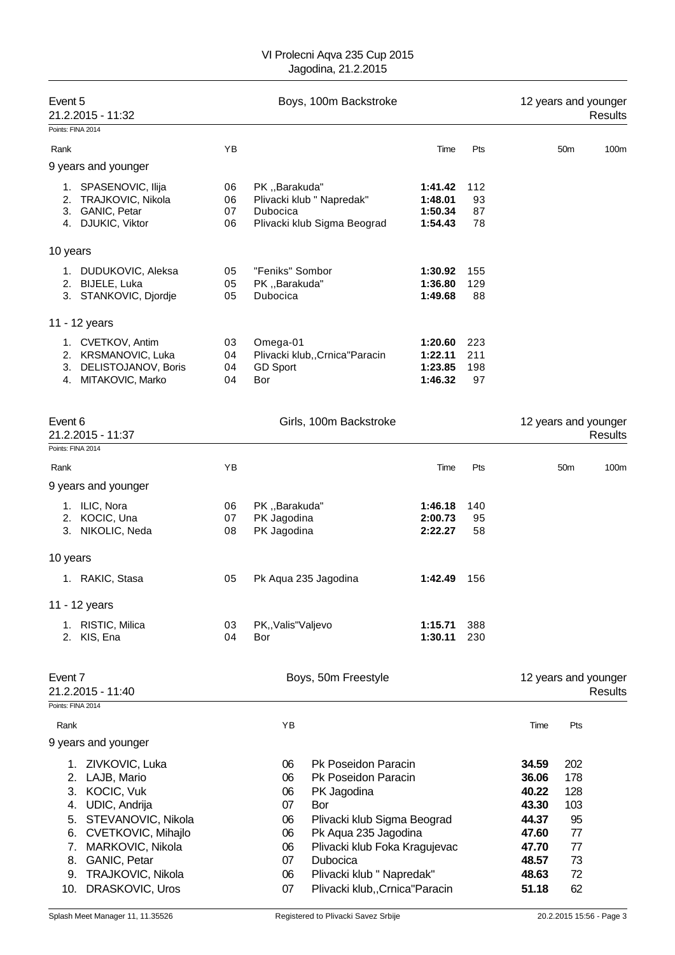| Event 5                                | 21.2.2015 - 11:32                                                                                                                                                          | Boys, 100m Backstroke |                                                    |                                                                                                                                                                                                   |                                          |                         |                                                                               | 12 years and younger<br><b>Results</b>                 |                                        |  |  |
|----------------------------------------|----------------------------------------------------------------------------------------------------------------------------------------------------------------------------|-----------------------|----------------------------------------------------|---------------------------------------------------------------------------------------------------------------------------------------------------------------------------------------------------|------------------------------------------|-------------------------|-------------------------------------------------------------------------------|--------------------------------------------------------|----------------------------------------|--|--|
|                                        | Points: FINA 2014                                                                                                                                                          |                       |                                                    |                                                                                                                                                                                                   |                                          |                         |                                                                               |                                                        |                                        |  |  |
| Rank                                   |                                                                                                                                                                            | YB                    |                                                    |                                                                                                                                                                                                   | Time                                     | Pts                     |                                                                               | 50 <sub>m</sub>                                        | 100m                                   |  |  |
|                                        | 9 years and younger                                                                                                                                                        |                       |                                                    |                                                                                                                                                                                                   |                                          |                         |                                                                               |                                                        |                                        |  |  |
| 1.<br>2.<br>3.                         | SPASENOVIC, Ilija<br>TRAJKOVIC, Nikola<br>GANIC, Petar<br>4. DJUKIC, Viktor                                                                                                | 06<br>06<br>07<br>06  | PK, Barakuda"<br>Dubocica                          | Plivacki klub " Napredak"<br>Plivacki klub Sigma Beograd                                                                                                                                          | 1:41.42<br>1:48.01<br>1:50.34<br>1:54.43 | 112<br>93<br>87<br>78   |                                                                               |                                                        |                                        |  |  |
| 10 years                               |                                                                                                                                                                            |                       |                                                    |                                                                                                                                                                                                   |                                          |                         |                                                                               |                                                        |                                        |  |  |
|                                        | 1. DUDUKOVIC, Aleksa<br>2. BIJELE, Luka<br>3. STANKOVIC, Djordje                                                                                                           | 05<br>05<br>05        | "Feniks" Sombor<br>PK "Barakuda"<br>Dubocica       |                                                                                                                                                                                                   | 1:30.92<br>1:36.80<br>1:49.68            | 155<br>129<br>88        |                                                                               |                                                        |                                        |  |  |
|                                        | 11 - 12 years                                                                                                                                                              |                       |                                                    |                                                                                                                                                                                                   |                                          |                         |                                                                               |                                                        |                                        |  |  |
|                                        | 1. CVETKOV, Antim<br>2. KRSMANOVIC, Luka<br>3. DELISTOJANOV, Boris<br>4. MITAKOVIC, Marko                                                                                  | 03<br>04<br>04<br>04  | Omega-01<br><b>GD Sport</b><br>Bor                 | Plivacki klub,, Crnica "Paracin                                                                                                                                                                   | 1:20.60<br>1:22.11<br>1:23.85<br>1:46.32 | 223<br>211<br>198<br>97 |                                                                               |                                                        |                                        |  |  |
| Event 6                                | 21.2.2015 - 11:37                                                                                                                                                          |                       |                                                    | Girls, 100m Backstroke                                                                                                                                                                            |                                          |                         |                                                                               |                                                        | 12 years and younger<br><b>Results</b> |  |  |
|                                        | Points: FINA 2014                                                                                                                                                          |                       |                                                    |                                                                                                                                                                                                   |                                          |                         |                                                                               |                                                        |                                        |  |  |
| Rank                                   |                                                                                                                                                                            | ΥB                    |                                                    |                                                                                                                                                                                                   | Time                                     | Pts                     |                                                                               | 50 <sub>m</sub>                                        | 100m                                   |  |  |
|                                        | 9 years and younger                                                                                                                                                        |                       |                                                    |                                                                                                                                                                                                   |                                          |                         |                                                                               |                                                        |                                        |  |  |
|                                        | 1. ILIC, Nora<br>2. KOCIC, Una<br>3. NIKOLIC, Neda                                                                                                                         | 06<br>07<br>08        | PK "Barakuda"<br>PK Jagodina<br>PK Jagodina        |                                                                                                                                                                                                   | 1:46.18<br>2:00.73<br>2:22.27            | 140<br>95<br>58         |                                                                               |                                                        |                                        |  |  |
| 10 years                               |                                                                                                                                                                            |                       |                                                    |                                                                                                                                                                                                   |                                          |                         |                                                                               |                                                        |                                        |  |  |
|                                        | 1. RAKIC, Stasa                                                                                                                                                            | 05                    |                                                    | Pk Aqua 235 Jagodina                                                                                                                                                                              | 1:42.49                                  | 156                     |                                                                               |                                                        |                                        |  |  |
|                                        | 11 - 12 years                                                                                                                                                              |                       |                                                    |                                                                                                                                                                                                   |                                          |                         |                                                                               |                                                        |                                        |  |  |
|                                        | 1. RISTIC, Milica<br>2. KIS, Ena                                                                                                                                           | 03<br>04              | PK,, Valis" Valjevo<br>Bor                         |                                                                                                                                                                                                   | 1:15.71<br>1:30.11                       | 388<br>230              |                                                                               |                                                        |                                        |  |  |
| Event 7                                | 21.2.2015 - 11:40                                                                                                                                                          |                       |                                                    | Boys, 50m Freestyle                                                                                                                                                                               |                                          |                         |                                                                               |                                                        | 12 years and younger<br><b>Results</b> |  |  |
|                                        | Points: FINA 2014                                                                                                                                                          |                       |                                                    |                                                                                                                                                                                                   |                                          |                         |                                                                               |                                                        |                                        |  |  |
| Rank                                   | 9 years and younger                                                                                                                                                        |                       | YB                                                 |                                                                                                                                                                                                   |                                          |                         | Time                                                                          | Pts                                                    |                                        |  |  |
| 2.<br>3.<br>4.<br>5.<br>6.<br>7.<br>8. | ZIVKOVIC, Luka<br>1.<br>LAJB, Mario<br>KOCIC, Vuk<br>UDIC, Andrija<br>STEVANOVIC, Nikola<br>CVETKOVIC, Mihajlo<br>MARKOVIC, Nikola<br>GANIC, Petar<br>9. TRAJKOVIC, Nikola |                       | 06<br>06<br>06<br>07<br>06<br>06<br>06<br>07<br>06 | Pk Poseidon Paracin<br>Pk Poseidon Paracin<br>PK Jagodina<br>Bor<br>Plivacki klub Sigma Beograd<br>Pk Aqua 235 Jagodina<br>Plivacki klub Foka Kragujevac<br>Dubocica<br>Plivacki klub " Napredak" |                                          |                         | 34.59<br>36.06<br>40.22<br>43.30<br>44.37<br>47.60<br>47.70<br>48.57<br>48.63 | 202<br>178<br>128<br>103<br>95<br>77<br>77<br>73<br>72 |                                        |  |  |

10. DRASKOVIC, Uros 07 Plivacki klub,,Crnica"Paracin **51.18** 62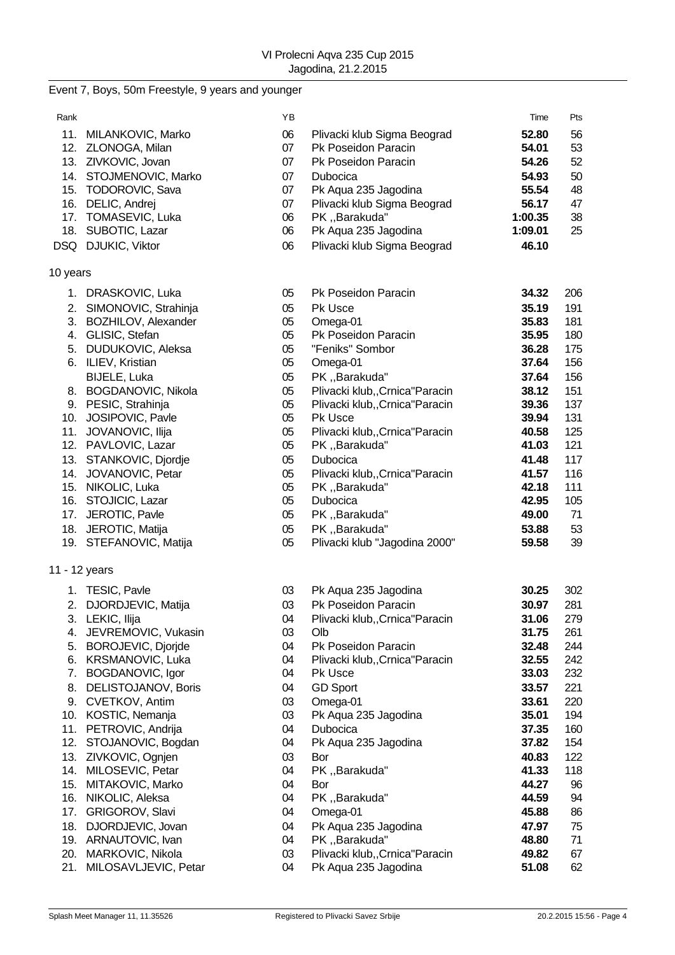# Event 7, Boys, 50m Freestyle, 9 years and younger

| Rank     |                         | ΥB |                                 | Time    | Pts |
|----------|-------------------------|----|---------------------------------|---------|-----|
|          | 11. MILANKOVIC, Marko   | 06 | Plivacki klub Sigma Beograd     | 52.80   | 56  |
|          | 12. ZLONOGA, Milan      | 07 | Pk Poseidon Paracin             | 54.01   | 53  |
|          | 13. ZIVKOVIC, Jovan     | 07 | Pk Poseidon Paracin             | 54.26   | 52  |
|          | 14. STOJMENOVIC, Marko  | 07 | Dubocica                        | 54.93   | 50  |
|          | 15. TODOROVIC, Sava     | 07 | Pk Aqua 235 Jagodina            | 55.54   | 48  |
|          | 16. DELIC, Andrej       | 07 | Plivacki klub Sigma Beograd     | 56.17   | 47  |
|          | 17. TOMASEVIC, Luka     | 06 | PK,,Barakuda"                   | 1:00.35 | 38  |
|          | 18. SUBOTIC, Lazar      | 06 | Pk Aqua 235 Jagodina            | 1:09.01 | 25  |
|          | DSQ DJUKIC, Viktor      | 06 | Plivacki klub Sigma Beograd     | 46.10   |     |
|          |                         |    |                                 |         |     |
| 10 years |                         |    |                                 |         |     |
|          | 1. DRASKOVIC, Luka      | 05 | Pk Poseidon Paracin             | 34.32   | 206 |
|          | 2. SIMONOVIC, Strahinja | 05 | Pk Usce                         | 35.19   | 191 |
|          | 3. BOZHILOV, Alexander  | 05 | Omega-01                        | 35.83   | 181 |
|          | 4. GLISIC, Stefan       | 05 | Pk Poseidon Paracin             | 35.95   | 180 |
|          | 5. DUDUKOVIC, Aleksa    | 05 | "Feniks" Sombor                 | 36.28   | 175 |
|          | 6. ILIEV, Kristian      | 05 | Omega-01                        | 37.64   | 156 |
|          | BIJELE, Luka            | 05 | PK "Barakuda"                   | 37.64   | 156 |
|          | 8. BOGDANOVIC, Nikola   | 05 | Plivacki klub,, Crnica" Paracin | 38.12   | 151 |
|          | 9. PESIC, Strahinja     | 05 | Plivacki klub,, Crnica" Paracin | 39.36   | 137 |
|          | 10. JOSIPOVIC, Pavle    | 05 | Pk Usce                         | 39.94   | 131 |
|          | 11. JOVANOVIC, Ilija    | 05 | Plivacki klub,, Crnica "Paracin | 40.58   | 125 |
|          | 12. PAVLOVIC, Lazar     | 05 | PK,,Barakuda"                   | 41.03   | 121 |
|          | 13. STANKOVIC, Djordje  | 05 | Dubocica                        | 41.48   | 117 |
|          | 14. JOVANOVIC, Petar    | 05 | Plivacki klub,, Crnica" Paracin | 41.57   | 116 |
|          | 15. NIKOLIC, Luka       | 05 | PK, , Barakuda"                 | 42.18   | 111 |
|          | 16. STOJICIC, Lazar     | 05 | Dubocica                        | 42.95   | 105 |
|          | 17. JEROTIC, Pavle      | 05 | PK,,Barakuda"                   | 49.00   | 71  |
|          | 18. JEROTIC, Matija     | 05 | PK,,Barakuda"                   | 53.88   | 53  |
|          | 19. STEFANOVIC, Matija  | 05 | Plivacki klub "Jagodina 2000"   | 59.58   | 39  |
|          |                         |    |                                 |         |     |
|          | 11 - 12 years           |    |                                 |         |     |
|          | 1. TESIC, Pavle         | 03 | Pk Aqua 235 Jagodina            | 30.25   | 302 |
|          | 2. DJORDJEVIC, Matija   | 03 | Pk Poseidon Paracin             | 30.97   | 281 |
|          | 3. LEKIC, Ilija         | 04 | Plivacki klub,, Crnica" Paracin | 31.06   | 279 |
|          | 4. JEVREMOVIC, Vukasin  | 03 | Olb                             | 31.75   | 261 |
|          | 5. BOROJEVIC, Djorjde   | 04 | Pk Poseidon Paracin             | 32.48   | 244 |
|          | 6. KRSMANOVIC, Luka     | 04 | Plivacki klub,, Crnica "Paracin | 32.55   | 242 |
|          | 7. BOGDANOVIC, Igor     | 04 | Pk Usce                         | 33.03   | 232 |
|          | 8. DELISTOJANOV, Boris  | 04 | <b>GD Sport</b>                 | 33.57   | 221 |
|          | 9. CVETKOV, Antim       | 03 | Omega-01                        | 33.61   | 220 |
|          | 10. KOSTIC, Nemanja     | 03 | Pk Aqua 235 Jagodina            | 35.01   | 194 |
|          | 11. PETROVIC, Andrija   | 04 | Dubocica                        | 37.35   | 160 |
|          | 12. STOJANOVIC, Bogdan  | 04 | Pk Aqua 235 Jagodina            | 37.82   | 154 |
|          | 13. ZIVKOVIC, Ognjen    | 03 | Bor                             | 40.83   | 122 |
|          | 14. MILOSEVIC, Petar    | 04 | PK,,Barakuda"                   | 41.33   | 118 |
|          | 15. MITAKOVIC, Marko    | 04 | Bor                             | 44.27   | 96  |
|          | 16. NIKOLIC, Aleksa     | 04 | PK,,Barakuda"                   | 44.59   | 94  |
|          | 17. GRIGOROV, Slavi     | 04 | Omega-01                        | 45.88   | 86  |
|          | 18. DJORDJEVIC, Jovan   | 04 | Pk Aqua 235 Jagodina            | 47.97   | 75  |
|          | 19. ARNAUTOVIC, Ivan    | 04 | PK, , Barakuda"                 | 48.80   | 71  |
|          | 20. MARKOVIC, Nikola    | 03 | Plivacki klub,, Crnica" Paracin | 49.82   | 67  |
| 21.      | MILOSAVLJEVIC, Petar    | 04 | Pk Aqua 235 Jagodina            | 51.08   | 62  |
|          |                         |    |                                 |         |     |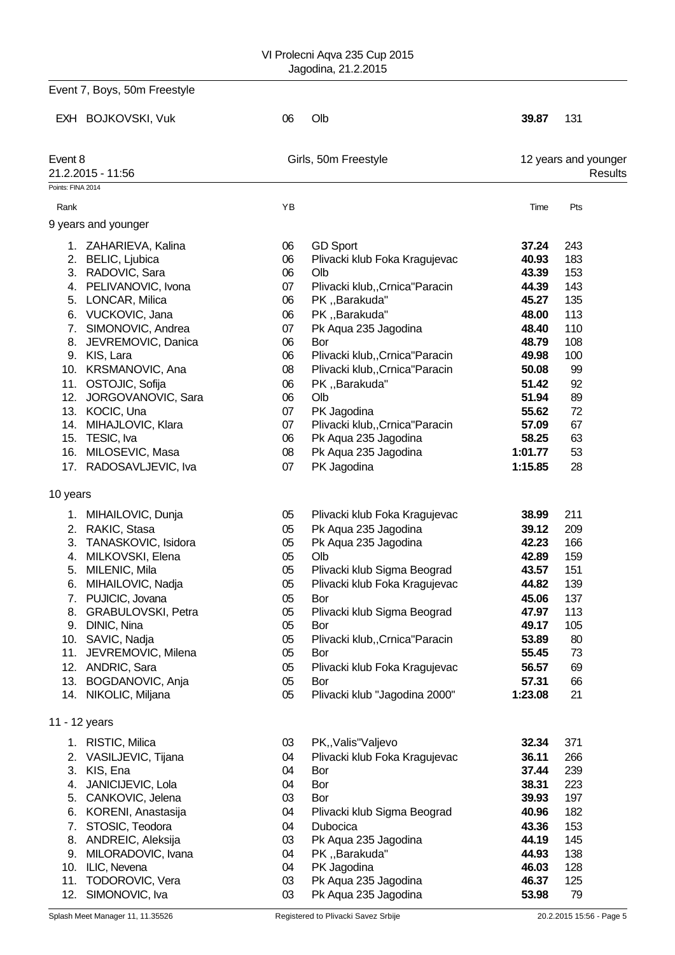|                                                 | Event 7, Boys, 50m Freestyle                                                                                                                                                                                                                                                                                  |                                                                                  |                                                                                                                                                                                                                                                                                                                      |                                                                                                                              |                                                                                           |
|-------------------------------------------------|---------------------------------------------------------------------------------------------------------------------------------------------------------------------------------------------------------------------------------------------------------------------------------------------------------------|----------------------------------------------------------------------------------|----------------------------------------------------------------------------------------------------------------------------------------------------------------------------------------------------------------------------------------------------------------------------------------------------------------------|------------------------------------------------------------------------------------------------------------------------------|-------------------------------------------------------------------------------------------|
|                                                 | EXH BOJKOVSKI, Vuk                                                                                                                                                                                                                                                                                            | 06                                                                               | Olb                                                                                                                                                                                                                                                                                                                  | 39.87                                                                                                                        | 131                                                                                       |
| Event 8<br>Points: FINA 2014                    | 21.2.2015 - 11:56                                                                                                                                                                                                                                                                                             |                                                                                  | Girls, 50m Freestyle                                                                                                                                                                                                                                                                                                 |                                                                                                                              | 12 years and younger<br>Results                                                           |
|                                                 |                                                                                                                                                                                                                                                                                                               |                                                                                  |                                                                                                                                                                                                                                                                                                                      |                                                                                                                              |                                                                                           |
| Rank                                            |                                                                                                                                                                                                                                                                                                               | YB                                                                               |                                                                                                                                                                                                                                                                                                                      | Time                                                                                                                         | Pts                                                                                       |
|                                                 | 9 years and younger                                                                                                                                                                                                                                                                                           |                                                                                  |                                                                                                                                                                                                                                                                                                                      |                                                                                                                              |                                                                                           |
|                                                 | 1. ZAHARIEVA, Kalina<br>2. BELIC, Ljubica<br>3. RADOVIC, Sara<br>4. PELIVANOVIC, Ivona<br>5. LONCAR, Milica<br>6. VUCKOVIC, Jana<br>7. SIMONOVIC, Andrea<br>8. JEVREMOVIC, Danica<br>9. KIS, Lara<br>10. KRSMANOVIC, Ana<br>11. OSTOJIC, Sofija<br>12. JORGOVANOVIC, Sara                                     | 06<br>06<br>06<br>07<br>06<br>06<br>07<br>06<br>06<br>08<br>06<br>06             | <b>GD Sport</b><br>Plivacki klub Foka Kragujevac<br>Olb<br>Plivacki klub,, Crnica "Paracin<br>PK,,Barakuda"<br>PK "Barakuda"<br>Pk Aqua 235 Jagodina<br>Bor<br>Plivacki klub,, Crnica "Paracin<br>Plivacki klub,, Crnica "Paracin<br>PK,,Barakuda"<br>Olb                                                            | 37.24<br>40.93<br>43.39<br>44.39<br>45.27<br>48.00<br>48.40<br>48.79<br>49.98<br>50.08<br>51.42<br>51.94                     | 243<br>183<br>153<br>143<br>135<br>113<br>110<br>108<br>100<br>99<br>92<br>89             |
|                                                 | 13. KOCIC, Una<br>14. MIHAJLOVIC, Klara<br>15. TESIC, Iva<br>16. MILOSEVIC, Masa<br>17. RADOSAVLJEVIC, Iva                                                                                                                                                                                                    | 07<br>07<br>06<br>08<br>07                                                       | PK Jagodina<br>Plivacki klub,, Crnica "Paracin<br>Pk Aqua 235 Jagodina<br>Pk Aqua 235 Jagodina<br>PK Jagodina                                                                                                                                                                                                        | 55.62<br>57.09<br>58.25<br>1:01.77<br>1:15.85                                                                                | 72<br>67<br>63<br>53<br>28                                                                |
| 10 years                                        |                                                                                                                                                                                                                                                                                                               |                                                                                  |                                                                                                                                                                                                                                                                                                                      |                                                                                                                              |                                                                                           |
| 5.<br>6.<br>7.<br>8.<br>9.<br>11.<br>12.<br>13. | 1. MIHAILOVIC, Dunja<br>2. RAKIC, Stasa<br>3. TANASKOVIC, Isidora<br>4. MILKOVSKI, Elena<br>MILENIC, Mila<br>MIHAILOVIC, Nadja<br>PUJICIC, Jovana<br>GRABULOVSKI, Petra<br>DINIC, Nina<br>10. SAVIC, Nadja<br>JEVREMOVIC, Milena<br>ANDRIC, Sara<br>BOGDANOVIC, Anja<br>14. NIKOLIC, Miljana<br>11 - 12 years | 05<br>05<br>05<br>05<br>05<br>05<br>05<br>05<br>05<br>05<br>05<br>05<br>05<br>05 | Plivacki klub Foka Kragujevac<br>Pk Aqua 235 Jagodina<br>Pk Aqua 235 Jagodina<br>Olb<br>Plivacki klub Sigma Beograd<br>Plivacki klub Foka Kragujevac<br>Bor<br>Plivacki klub Sigma Beograd<br>Bor<br>Plivacki klub,, Crnica" Paracin<br>Bor<br>Plivacki klub Foka Kragujevac<br>Bor<br>Plivacki klub "Jagodina 2000" | 38.99<br>39.12<br>42.23<br>42.89<br>43.57<br>44.82<br>45.06<br>47.97<br>49.17<br>53.89<br>55.45<br>56.57<br>57.31<br>1:23.08 | 211<br>209<br>166<br>159<br>151<br>139<br>137<br>113<br>105<br>80<br>73<br>69<br>66<br>21 |
|                                                 |                                                                                                                                                                                                                                                                                                               |                                                                                  |                                                                                                                                                                                                                                                                                                                      |                                                                                                                              |                                                                                           |
| 3.<br>4.<br>7.<br>11.<br>12.                    | 1. RISTIC, Milica<br>2. VASILJEVIC, Tijana<br>KIS, Ena<br>JANICIJEVIC, Lola<br>5. CANKOVIC, Jelena<br>6. KORENI, Anastasija<br>STOSIC, Teodora<br>8. ANDREIC, Aleksija<br>9. MILORADOVIC, Ivana<br>10. ILIC, Nevena<br>TODOROVIC, Vera<br>SIMONOVIC, Iva                                                      | 03<br>04<br>04<br>04<br>03<br>04<br>04<br>03<br>04<br>04<br>03<br>03             | PK,, Valis" Valjevo<br>Plivacki klub Foka Kragujevac<br>Bor<br>Bor<br>Bor<br>Plivacki klub Sigma Beograd<br>Dubocica<br>Pk Aqua 235 Jagodina<br>PK "Barakuda"<br>PK Jagodina<br>Pk Aqua 235 Jagodina<br>Pk Aqua 235 Jagodina                                                                                         | 32.34<br>36.11<br>37.44<br>38.31<br>39.93<br>40.96<br>43.36<br>44.19<br>44.93<br>46.03<br>46.37<br>53.98                     | 371<br>266<br>239<br>223<br>197<br>182<br>153<br>145<br>138<br>128<br>125<br>79           |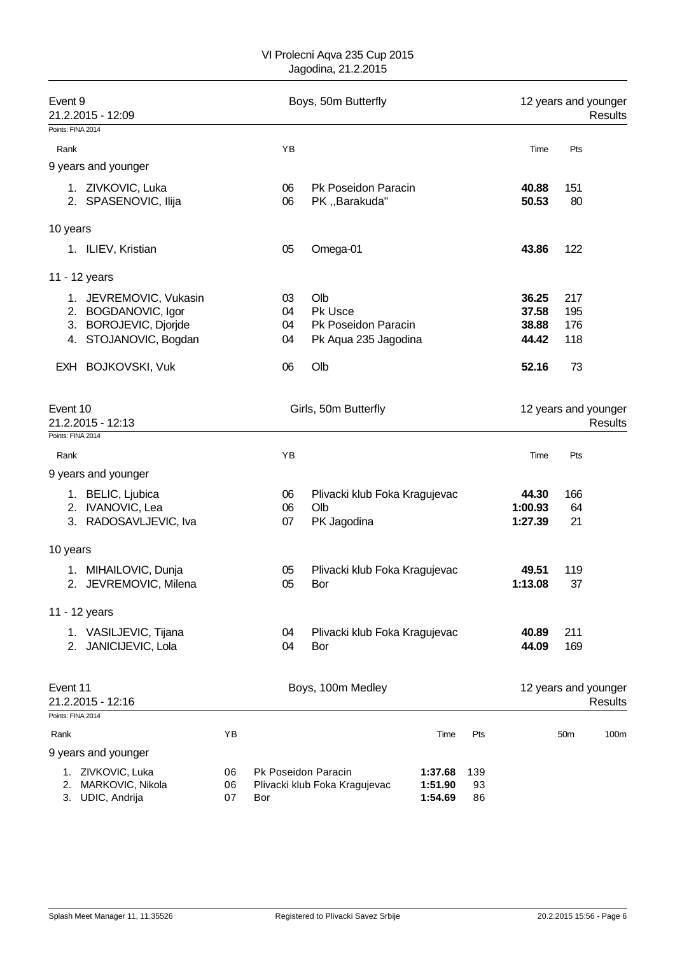| Event 9<br>21.2.2015 - 12:09  |                                                                                                 | Boys, 50m Butterfly |                            |                                                               |                               |                 | 12 years and younger<br><b>Results</b> |                          |                                        |  |
|-------------------------------|-------------------------------------------------------------------------------------------------|---------------------|----------------------------|---------------------------------------------------------------|-------------------------------|-----------------|----------------------------------------|--------------------------|----------------------------------------|--|
| Points: FINA 2014             |                                                                                                 |                     |                            |                                                               |                               |                 |                                        |                          |                                        |  |
| Rank                          |                                                                                                 |                     | YB                         |                                                               |                               |                 | Time                                   | Pts                      |                                        |  |
|                               | 9 years and younger                                                                             |                     |                            |                                                               |                               |                 |                                        |                          |                                        |  |
|                               | 1. ZIVKOVIC, Luka<br>2. SPASENOVIC, Ilija                                                       |                     | 06<br>06                   | Pk Poseidon Paracin<br>PK,,Barakuda"                          |                               |                 | 40.88<br>50.53                         | 151<br>80                |                                        |  |
| 10 years                      |                                                                                                 |                     |                            |                                                               |                               |                 |                                        |                          |                                        |  |
|                               | 1. ILIEV, Kristian                                                                              |                     | 05                         | Omega-01                                                      |                               |                 | 43.86                                  | 122                      |                                        |  |
|                               | 11 - 12 years                                                                                   |                     |                            |                                                               |                               |                 |                                        |                          |                                        |  |
|                               | 1. JEVREMOVIC, Vukasin<br>2. BOGDANOVIC, Igor<br>3. BOROJEVIC, Djorjde<br>4. STOJANOVIC, Bogdan |                     | 03<br>04<br>04<br>04       | Olb<br>Pk Usce<br>Pk Poseidon Paracin<br>Pk Aqua 235 Jagodina |                               |                 | 36.25<br>37.58<br>38.88<br>44.42       | 217<br>195<br>176<br>118 |                                        |  |
|                               | EXH BOJKOVSKI, Vuk                                                                              |                     | 06                         | Olb                                                           |                               |                 | 52.16                                  | 73                       |                                        |  |
| Event 10<br>Points: FINA 2014 | 21.2.2015 - 12:13                                                                               |                     |                            | Girls, 50m Butterfly                                          |                               |                 |                                        |                          | 12 years and younger<br><b>Results</b> |  |
|                               |                                                                                                 |                     |                            |                                                               |                               |                 |                                        |                          |                                        |  |
| Rank                          |                                                                                                 |                     | YB                         |                                                               |                               |                 | Time                                   | Pts                      |                                        |  |
| 2.<br>3.                      | 9 years and younger<br>1. BELIC, Ljubica<br><b>IVANOVIC, Lea</b><br>RADOSAVLJEVIC, Iva          |                     | 06<br>06<br>07             | Plivacki klub Foka Kragujevac<br>Olb<br>PK Jagodina           |                               |                 | 44.30<br>1:00.93<br>1:27.39            | 166<br>64<br>21          |                                        |  |
| 10 years                      |                                                                                                 |                     |                            |                                                               |                               |                 |                                        |                          |                                        |  |
|                               | 1. MIHAILOVIC, Dunja<br>2. JEVREMOVIC, Milena                                                   |                     | 05<br>05                   | Plivacki klub Foka Kragujevac<br>Bor                          |                               |                 | 49.51<br>1:13.08                       | 119<br>37                |                                        |  |
|                               | 11 - 12 years                                                                                   |                     |                            |                                                               |                               |                 |                                        |                          |                                        |  |
|                               | 1. VASILJEVIC, Tijana<br>2. JANICIJEVIC, Lola                                                   |                     | 04<br>04                   | Plivacki klub Foka Kragujevac<br>Bor                          |                               |                 | 40.89<br>44.09                         | 211<br>169               |                                        |  |
| Event 11                      | 21.2.2015 - 12:16                                                                               |                     |                            | Boys, 100m Medley                                             |                               |                 |                                        |                          | 12 years and younger<br><b>Results</b> |  |
| Points: FINA 2014             |                                                                                                 |                     |                            |                                                               |                               |                 |                                        |                          |                                        |  |
| Rank                          |                                                                                                 | YB                  |                            |                                                               | Time                          | Pts             |                                        | 50 <sub>m</sub>          | 100m                                   |  |
|                               | 9 years and younger                                                                             |                     |                            |                                                               |                               |                 |                                        |                          |                                        |  |
| 2.<br>3.                      | 1. ZIVKOVIC, Luka<br>MARKOVIC, Nikola<br>UDIC, Andrija                                          | 06<br>06<br>07      | Pk Poseidon Paracin<br>Bor | Plivacki klub Foka Kragujevac                                 | 1:37.68<br>1:51.90<br>1:54.69 | 139<br>93<br>86 |                                        |                          |                                        |  |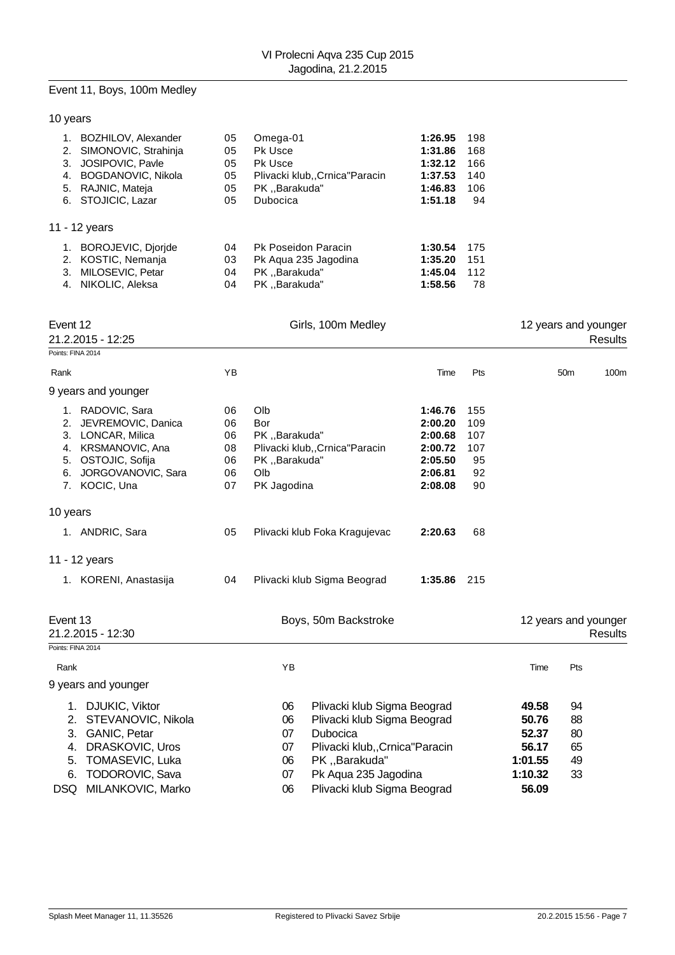# Event 11, Boys, 100m Medley

## 10 years

| BOZHILOV, Alexander<br>2. SIMONOVIC, Strahinja<br>JOSIPOVIC, Pavle<br>3.<br>BOGDANOVIC, Nikola<br>4.<br>RAJNIC, Mateja<br>5.<br>6. STOJICIC, Lazar | 05<br>05<br>05<br>05<br>05<br>05 | Omega-01<br>Pk Usce<br><b>Pk Usce</b><br>Plivacki klubCrnica"Paracin<br>PK Barakuda"<br>Dubocica | 1:26.95<br>1:31.86<br>1:32.12<br>1:37.53<br>1:46.83<br>1:51.18 | 198<br>168<br>166<br>140<br>106<br>94 |
|----------------------------------------------------------------------------------------------------------------------------------------------------|----------------------------------|--------------------------------------------------------------------------------------------------|----------------------------------------------------------------|---------------------------------------|
| 11 - 12 years                                                                                                                                      |                                  |                                                                                                  |                                                                |                                       |
| BOROJEVIC, Djorjde<br>1.<br>KOSTIC, Nemanja<br>2.<br>MILOSEVIC, Petar<br>3.<br>NIKOLIC, Aleksa<br>4.                                               | 04<br>03<br>04<br>04             | <b>Pk Poseidon Paracin</b><br>Pk Agua 235 Jagodina<br>PK "Barakuda"<br>PK Barakuda"              | 1:30.54<br>1:35.20<br>1:45.04<br>1:58.56                       | 175<br>151<br>112<br>78               |

|                                                                                                                                                                                              | Event 12<br>21.2.2015 - 12:25                                                                                                                                                               |                                                                                                                                                                                                                             | Girls, 100m Medley                                                                                    |                                                                           |                                                                 |                                  |                 | 12 years and younger<br><b>Results</b> |
|----------------------------------------------------------------------------------------------------------------------------------------------------------------------------------------------|---------------------------------------------------------------------------------------------------------------------------------------------------------------------------------------------|-----------------------------------------------------------------------------------------------------------------------------------------------------------------------------------------------------------------------------|-------------------------------------------------------------------------------------------------------|---------------------------------------------------------------------------|-----------------------------------------------------------------|----------------------------------|-----------------|----------------------------------------|
|                                                                                                                                                                                              | Points: FINA 2014                                                                                                                                                                           |                                                                                                                                                                                                                             |                                                                                                       |                                                                           |                                                                 |                                  |                 |                                        |
| Rank                                                                                                                                                                                         |                                                                                                                                                                                             | YB                                                                                                                                                                                                                          |                                                                                                       | Time                                                                      | Pts                                                             |                                  | 50 <sub>m</sub> | 100m                                   |
|                                                                                                                                                                                              | 9 years and younger                                                                                                                                                                         |                                                                                                                                                                                                                             |                                                                                                       |                                                                           |                                                                 |                                  |                 |                                        |
| 2.<br>3.<br>6.                                                                                                                                                                               | 1. RADOVIC, Sara<br>06<br>JEVREMOVIC, Danica<br>06<br>LONCAR, Milica<br>06<br>KRSMANOVIC, Ana<br>08<br>4.<br>OSTOJIC, Sofija<br>06<br>5.<br>JORGOVANOVIC, Sara<br>06<br>7. KOCIC, Una<br>07 |                                                                                                                                                                                                                             | Olb<br>Bor<br>PK "Barakuda"<br>Plivacki klub,, Crnica "Paracin<br>PK "Barakuda"<br>Olb<br>PK Jagodina | 1:46.76<br>2:00.20<br>2:00.68<br>2:00.72<br>2:05.50<br>2:06.81<br>2:08.08 | 155<br>109<br>107<br>107<br>95<br>92<br>90                      |                                  |                 |                                        |
| 10 years                                                                                                                                                                                     |                                                                                                                                                                                             |                                                                                                                                                                                                                             |                                                                                                       |                                                                           |                                                                 |                                  |                 |                                        |
|                                                                                                                                                                                              | 1. ANDRIC, Sara                                                                                                                                                                             | 05                                                                                                                                                                                                                          | Plivacki klub Foka Kragujevac                                                                         | 2:20.63                                                                   | 68                                                              |                                  |                 |                                        |
|                                                                                                                                                                                              | 11 - 12 years                                                                                                                                                                               |                                                                                                                                                                                                                             |                                                                                                       |                                                                           |                                                                 |                                  |                 |                                        |
|                                                                                                                                                                                              | 1. KORENI, Anastasija                                                                                                                                                                       | 04                                                                                                                                                                                                                          | Plivacki klub Sigma Beograd                                                                           | 1:35.86                                                                   | 215                                                             |                                  |                 |                                        |
| Event 13                                                                                                                                                                                     | 21.2.2015 - 12:30                                                                                                                                                                           |                                                                                                                                                                                                                             | Boys, 50m Backstroke                                                                                  |                                                                           |                                                                 | 12 years and younger             |                 | <b>Results</b>                         |
|                                                                                                                                                                                              | Points: FINA 2014                                                                                                                                                                           |                                                                                                                                                                                                                             |                                                                                                       |                                                                           |                                                                 |                                  |                 |                                        |
| Rank                                                                                                                                                                                         |                                                                                                                                                                                             |                                                                                                                                                                                                                             | YB                                                                                                    |                                                                           |                                                                 | Time                             | Pts             |                                        |
|                                                                                                                                                                                              | 9 years and younger                                                                                                                                                                         |                                                                                                                                                                                                                             |                                                                                                       |                                                                           |                                                                 |                                  |                 |                                        |
| 1. DJUKIC, Viktor<br>STEVANOVIC, Nikola<br>2.<br><b>GANIC, Petar</b><br>3.<br><b>DRASKOVIC, Uros</b><br>4.<br>TOMASEVIC, Luka<br>5.<br><b>TODOROVIC, Sava</b><br>6.<br>DSQ MILANKOVIC, Marko |                                                                                                                                                                                             | Plivacki klub Sigma Beograd<br>06<br>Plivacki klub Sigma Beograd<br>06<br>Dubocica<br>07<br>Plivacki klub,, Crnica "Paracin<br>07<br>PK "Barakuda"<br>06<br>Pk Aqua 235 Jagodina<br>07<br>Plivacki klub Sigma Beograd<br>06 |                                                                                                       |                                                                           | 49.58<br>50.76<br>52.37<br>56.17<br>1:01.55<br>1:10.32<br>56.09 | 94<br>88<br>80<br>65<br>49<br>33 |                 |                                        |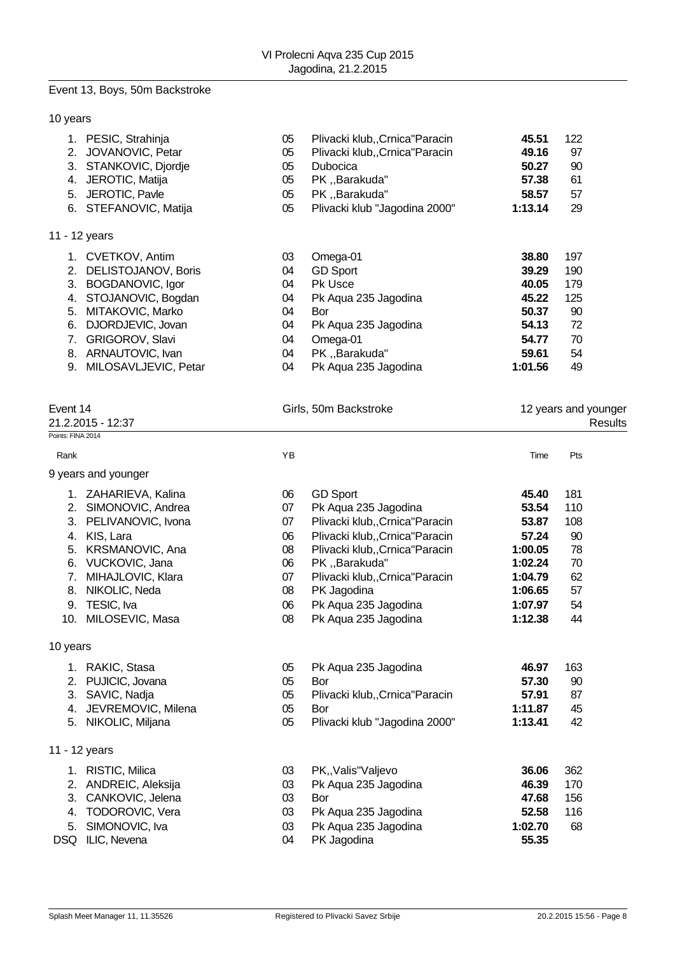#### Event 13, Boys, 50m Backstroke

### 10 years

|    | PESIC, Strahinja     | 05 | Plivacki klub,, Crnica "Paracin | 45.51   | 122 |  |
|----|----------------------|----|---------------------------------|---------|-----|--|
| 2. | JOVANOVIC, Petar     | 05 | Plivacki klub,, Crnica "Paracin | 49.16   | 97  |  |
| 3. | STANKOVIC, Djordje   | 05 | <b>Dubocica</b>                 | 50.27   | 90  |  |
| 4. | JEROTIC, Matija      | 05 | PK, Barakuda"                   | 57.38   | 61  |  |
| 5. | JEROTIC, Pavle       | 05 | PK "Barakuda"                   | 58.57   | 57  |  |
| 6. | STEFANOVIC, Matija   | 05 | Plivacki klub "Jagodina 2000"   | 1:13.14 | 29  |  |
|    | 11 - 12 years        |    |                                 |         |     |  |
|    | CVETKOV, Antim       | 03 | Omega-01                        | 38.80   | 197 |  |
| 2. | DELISTOJANOV, Boris  | 04 | <b>GD Sport</b>                 | 39.29   | 190 |  |
| 3. | BOGDANOVIC, Igor     | 04 | <b>Pk Usce</b>                  | 40.05   | 179 |  |
| 4. | STOJANOVIC, Bogdan   | 04 | Pk Agua 235 Jagodina            | 45.22   | 125 |  |
| 5. | MITAKOVIC, Marko     | 04 | Bor                             | 50.37   | 90  |  |
| 6. | DJORDJEVIC, Jovan    | 04 | Pk Aqua 235 Jagodina            | 54.13   | 72  |  |
| 7. | GRIGOROV, Slavi      | 04 | Omega-01                        | 54.77   | 70  |  |
| 8. | ARNAUTOVIC, Ivan     | 04 | PK, Barakuda"                   | 59.61   | 54  |  |
| 9. | MILOSAVLJEVIC, Petar | 04 | Pk Aqua 235 Jagodina            | 1:01.56 | 49  |  |

| Event 14            | Girls, 50m Backstroke | 12 years and younger |  |  |
|---------------------|-----------------------|----------------------|--|--|
| 21.2.2015 - 12:37   |                       | <b>Results</b>       |  |  |
| Points: FINA 2014   |                       |                      |  |  |
| Rank                | ΥB                    | Time<br>Pts          |  |  |
| 9 years and younger |                       |                      |  |  |

| 1.       | ZAHARIEVA, Kalina     | 06 | <b>GD Sport</b>                 | 45.40   | 181 |
|----------|-----------------------|----|---------------------------------|---------|-----|
| 2.       | SIMONOVIC, Andrea     | 07 | Pk Aqua 235 Jagodina            | 53.54   | 110 |
|          | 3. PELIVANOVIC, Ivona | 07 | Plivacki klub,, Crnica "Paracin | 53.87   | 108 |
| 4.       | KIS, Lara             | 06 | Plivacki klub,, Crnica "Paracin | 57.24   | 90  |
| 5.       | KRSMANOVIC, Ana       | 08 | Plivacki klub,, Crnica "Paracin | 1:00.05 | 78  |
| 6.       | VUCKOVIC, Jana        | 06 | PK, Barakuda"                   | 1:02.24 | 70  |
| 7.       | MIHAJLOVIC, Klara     | 07 | Plivacki klub,, Crnica "Paracin | 1:04.79 | 62  |
| 8.       | NIKOLIC, Neda         | 08 | PK Jagodina                     | 1:06.65 | 57  |
| 9.       | TESIC, Iva            | 06 | Pk Aqua 235 Jagodina            | 1:07.97 | 54  |
| 10.      | MILOSEVIC, Masa       | 08 | Pk Aqua 235 Jagodina            | 1:12.38 | 44  |
| 10 years |                       |    |                                 |         |     |
|          | 1. RAKIC, Stasa       | 05 | Pk Aqua 235 Jagodina            | 46.97   | 163 |
| 2.       | PUJICIC, Jovana       | 05 | Bor                             | 57.30   | 90  |
| 3.       | SAVIC, Nadja          | 05 | Plivacki klub,, Crnica "Paracin | 57.91   | 87  |
| 4.       | JEVREMOVIC, Milena    | 05 | <b>Bor</b>                      | 1:11.87 | 45  |
|          | 5. NIKOLIC, Miljana   | 05 | Plivacki klub "Jagodina 2000"   | 1:13.41 | 42  |
|          | 11 - 12 years         |    |                                 |         |     |
| 1.       | RISTIC, Milica        | 03 | PK,, Valis" Valjevo             | 36.06   | 362 |
| 2.       | ANDREIC, Aleksija     | 03 | Pk Aqua 235 Jagodina            | 46.39   | 170 |
| 3.       | CANKOVIC, Jelena      | 03 | Bor                             | 47.68   | 156 |
| 4.       | TODOROVIC, Vera       | 03 | Pk Aqua 235 Jagodina            | 52.58   | 116 |
| 5.       | SIMONOVIC, Iva        | 03 | Pk Aqua 235 Jagodina            | 1:02.70 | 68  |

DSQ ILIC, Nevena 04 PK Jagodina **55.35**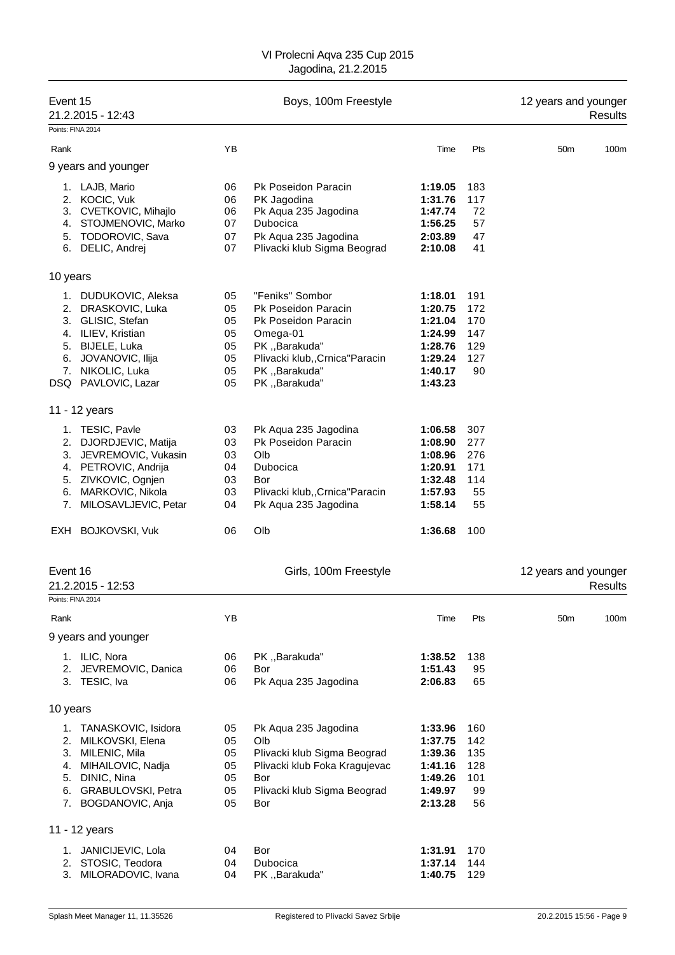| Event 15          | 21.2.2015 - 12:43                           |          | Boys, 100m Freestyle                 |                    |            | 12 years and younger | Results |
|-------------------|---------------------------------------------|----------|--------------------------------------|--------------------|------------|----------------------|---------|
| Points: FINA 2014 |                                             |          |                                      |                    |            |                      |         |
| Rank              |                                             | ΥB       |                                      | Time               | Pts        | 50 <sub>m</sub>      | 100m    |
|                   | 9 years and younger                         |          |                                      |                    |            |                      |         |
| 1.                | LAJB, Mario                                 | 06       | Pk Poseidon Paracin                  | 1:19.05            | 183        |                      |         |
|                   | 2. KOCIC, Vuk<br>3. CVETKOVIC, Mihajlo      | 06<br>06 | PK Jagodina<br>Pk Aqua 235 Jagodina  | 1:31.76<br>1:47.74 | 117<br>72  |                      |         |
|                   | 4. STOJMENOVIC, Marko                       | 07       | <b>Dubocica</b>                      | 1:56.25            | 57         |                      |         |
|                   | 5. TODOROVIC, Sava                          | 07       | Pk Aqua 235 Jagodina                 | 2:03.89            | 47         |                      |         |
|                   | 6. DELIC, Andrej                            | 07       | Plivacki klub Sigma Beograd          | 2:10.08            | 41         |                      |         |
| 10 years          |                                             |          |                                      |                    |            |                      |         |
|                   | 1. DUDUKOVIC, Aleksa                        | 05       | "Feniks" Sombor                      | 1:18.01            | 191        |                      |         |
|                   | 2. DRASKOVIC, Luka                          | 05       | Pk Poseidon Paracin                  | 1:20.75            | 172        |                      |         |
|                   | 3. GLISIC, Stefan                           | 05       | Pk Poseidon Paracin                  | 1:21.04            | 170        |                      |         |
|                   | 4. ILIEV, Kristian<br>5. BIJELE, Luka       | 05<br>05 | Omega-01<br>PK,,Barakuda"            | 1:24.99<br>1:28.76 | 147<br>129 |                      |         |
|                   | 6. JOVANOVIC, Ilija                         | 05       | Plivacki klub,, Crnica "Paracin      | 1:29.24            | 127        |                      |         |
|                   | 7. NIKOLIC, Luka                            | 05       | PK "Barakuda"                        | 1:40.17            | 90         |                      |         |
|                   | DSQ PAVLOVIC, Lazar                         | 05       | PK,,Barakuda"                        | 1:43.23            |            |                      |         |
|                   | 11 - 12 years                               |          |                                      |                    |            |                      |         |
|                   | 1. TESIC, Pavle                             | 03       | Pk Aqua 235 Jagodina                 | 1:06.58            | 307        |                      |         |
|                   | 2. DJORDJEVIC, Matija                       | 03       | Pk Poseidon Paracin                  | 1:08.90            | 277        |                      |         |
|                   | 3. JEVREMOVIC, Vukasin                      | 03       | Olb                                  | 1:08.96            | 276        |                      |         |
|                   | 4. PETROVIC, Andrija<br>5. ZIVKOVIC, Ognjen | 04<br>03 | Dubocica<br>Bor                      | 1:20.91<br>1:32.48 | 171<br>114 |                      |         |
|                   | 6. MARKOVIC, Nikola                         | 03       | Plivacki klub,, Crnica "Paracin      | 1:57.93            | 55         |                      |         |
| 7.                | MILOSAVLJEVIC, Petar                        | 04       | Pk Aqua 235 Jagodina                 | 1:58.14            | 55         |                      |         |
|                   | EXH BOJKOVSKI, Vuk                          | 06       | Olb                                  | 1:36.68            | 100        |                      |         |
|                   |                                             |          |                                      |                    |            |                      |         |
| Event 16          | 21.2.2015 - 12:53                           |          | Girls, 100m Freestyle                |                    |            | 12 years and younger | Results |
| Points: FINA 2014 |                                             |          |                                      |                    |            |                      |         |
| Rank              |                                             | ΥB       |                                      | Time               | Pts        | 50m                  | 100m    |
|                   | 9 years and younger                         |          |                                      |                    |            |                      |         |
|                   | 1. ILIC, Nora                               | 06       | PK,,Barakuda"                        | 1:38.52            | 138        |                      |         |
|                   | 2. JEVREMOVIC, Danica                       | 06       | Bor                                  | 1:51.43            | 95         |                      |         |
|                   | 3. TESIC, Iva                               | 06       | Pk Aqua 235 Jagodina                 | 2:06.83            | 65         |                      |         |
| 10 years          |                                             |          |                                      |                    |            |                      |         |
| 1.                | TANASKOVIC, Isidora                         | 05       | Pk Aqua 235 Jagodina                 | 1:33.96            | 160        |                      |         |
|                   | 2. MILKOVSKI, Elena                         | 05       | Olb                                  | 1:37.75            | 142        |                      |         |
|                   | 3. MILENIC, Mila<br>4. MIHAILOVIC, Nadja    | 05       | Plivacki klub Sigma Beograd          | 1:39.36            | 135        |                      |         |
| 5.                | DINIC, Nina                                 | 05<br>05 | Plivacki klub Foka Kragujevac<br>Bor | 1:41.16<br>1:49.26 | 128<br>101 |                      |         |
|                   | 6. GRABULOVSKI, Petra                       | 05       | Plivacki klub Sigma Beograd          | 1:49.97            | 99         |                      |         |
|                   | 7. BOGDANOVIC, Anja                         | 05       | Bor                                  | 2:13.28            | 56         |                      |         |
|                   | 11 - 12 years                               |          |                                      |                    |            |                      |         |
| 1.                | JANICIJEVIC, Lola                           | 04       | Bor                                  | 1:31.91            | 170        |                      |         |
| 2.                | STOSIC, Teodora                             | 04       | Dubocica                             | 1:37.14            | 144        |                      |         |
| 3.                | MILORADOVIC, Ivana                          | 04       | PK,,Barakuda"                        | 1:40.75            | 129        |                      |         |
|                   |                                             |          |                                      |                    |            |                      |         |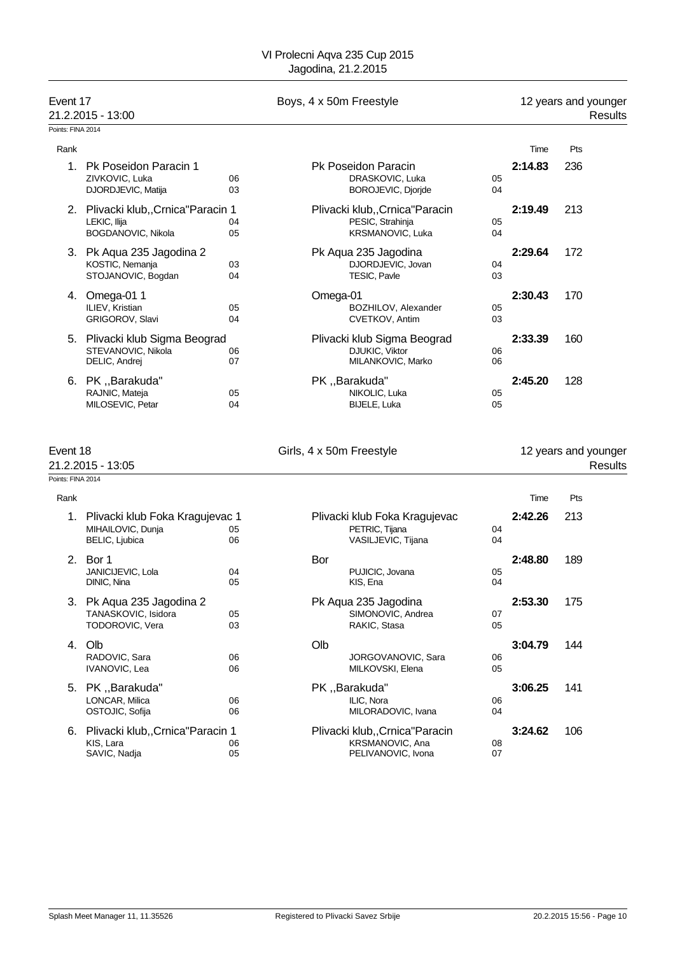|                               | Event 17<br>21.2.2015 - 13:00                                             |          | Boys, 4 x 50m Freestyle  |                                                                                |          | 12 years and younger<br>Results |                                 |
|-------------------------------|---------------------------------------------------------------------------|----------|--------------------------|--------------------------------------------------------------------------------|----------|---------------------------------|---------------------------------|
| Points: FINA 2014             |                                                                           |          |                          |                                                                                |          |                                 |                                 |
| Rank                          |                                                                           |          |                          |                                                                                |          | Time                            | Pts                             |
|                               | 1. Pk Poseidon Paracin 1<br>ZIVKOVIC, Luka<br>DJORDJEVIC, Matija          | 06<br>03 |                          | Pk Poseidon Paracin<br>DRASKOVIC, Luka<br>BOROJEVIC, Djorjde                   | 05<br>04 | 2:14.83                         | 236                             |
|                               | 2. Plivacki klub,, Crnica"Paracin 1<br>LEKIC, Ilija<br>BOGDANOVIC, Nikola | 04<br>05 |                          | Plivacki klub,, Crnica "Paracin<br>PESIC, Strahinja<br><b>KRSMANOVIC, Luka</b> | 05<br>04 | 2:19.49                         | 213                             |
|                               | 3. Pk Aqua 235 Jagodina 2<br>KOSTIC, Nemanja<br>STOJANOVIC, Bogdan        | 03<br>04 |                          | Pk Aqua 235 Jagodina<br>DJORDJEVIC, Jovan<br>TESIC, Pavle                      | 04<br>03 | 2:29.64                         | 172                             |
|                               | 4. Omega-01 1<br>ILIEV, Kristian<br>GRIGOROV, Slavi                       | 05<br>04 | Omega-01                 | BOZHILOV, Alexander<br>CVETKOV, Antim                                          | 05<br>03 | 2:30.43                         | 170                             |
|                               | 5. Plivacki klub Sigma Beograd<br>STEVANOVIC, Nikola<br>DELIC, Andrej     | 06<br>07 |                          | Plivacki klub Sigma Beograd<br>DJUKIC, Viktor<br>MILANKOVIC, Marko             | 06<br>06 | 2:33.39                         | 160                             |
|                               | 6. PK, Barakuda"<br>RAJNIC, Mateja<br>MILOSEVIC, Petar                    | 05<br>04 |                          | PK, Barakuda"<br>NIKOLIC, Luka<br>BIJELE, Luka                                 | 05<br>05 | 2:45.20                         | 128                             |
| Event 18<br>Points: FINA 2014 | 21.2.2015 - 13:05                                                         |          | Girls, 4 x 50m Freestyle |                                                                                |          |                                 | 12 years and younger<br>Results |
| Rank                          |                                                                           |          |                          |                                                                                |          | Time                            | Pts                             |
|                               | 1. Plivacki klub Foka Kragujevac 1<br>MIHAILOVIC, Dunja<br>BELIC, Ljubica | 05<br>06 |                          | Plivacki klub Foka Kragujevac<br>PETRIC, Tijana<br>VASILJEVIC, Tijana          | 04<br>04 | 2:42.26                         | 213                             |
|                               | 2. Bor 1<br>JANICIJEVIC, Lola<br>DINIC, Nina                              | 04<br>05 | Bor                      | PUJICIC, Jovana<br>KIS, Ena                                                    | 05<br>04 | 2:48.80                         | 189                             |
|                               | 3. Pk Aqua 235 Jagodina 2<br>TANASKOVIC, Isidora<br>TODOROVIC, Vera       | 05<br>03 |                          | Pk Aqua 235 Jagodina<br>SIMONOVIC, Andrea<br>RAKIC, Stasa                      | 07<br>05 | 2:53.30                         | 175                             |
|                               | 4. Olb<br>RADOVIC, Sara<br>IVANOVIC, Lea                                  | 06<br>06 | Olb                      | JORGOVANOVIC, Sara<br>MILKOVSKI, Elena                                         | 06<br>05 | 3:04.79                         | 144                             |
| 5.                            | PK "Barakuda"<br>LONCAR, Milica<br>OSTOJIC, Sofija                        | 06<br>06 |                          | PK "Barakuda"<br>ILIC, Nora<br>MILORADOVIC, Ivana                              | 06<br>04 | 3:06.25                         | 141                             |
|                               | 6. Plivacki klub,, Crnica "Paracin 1<br>KIS, Lara<br>SAVIC, Nadja         | 06<br>05 |                          | Plivacki klub,, Crnica "Paracin<br>KRSMANOVIC, Ana<br>PELIVANOVIC, Ivona       | 08<br>07 | 3:24.62                         | 106                             |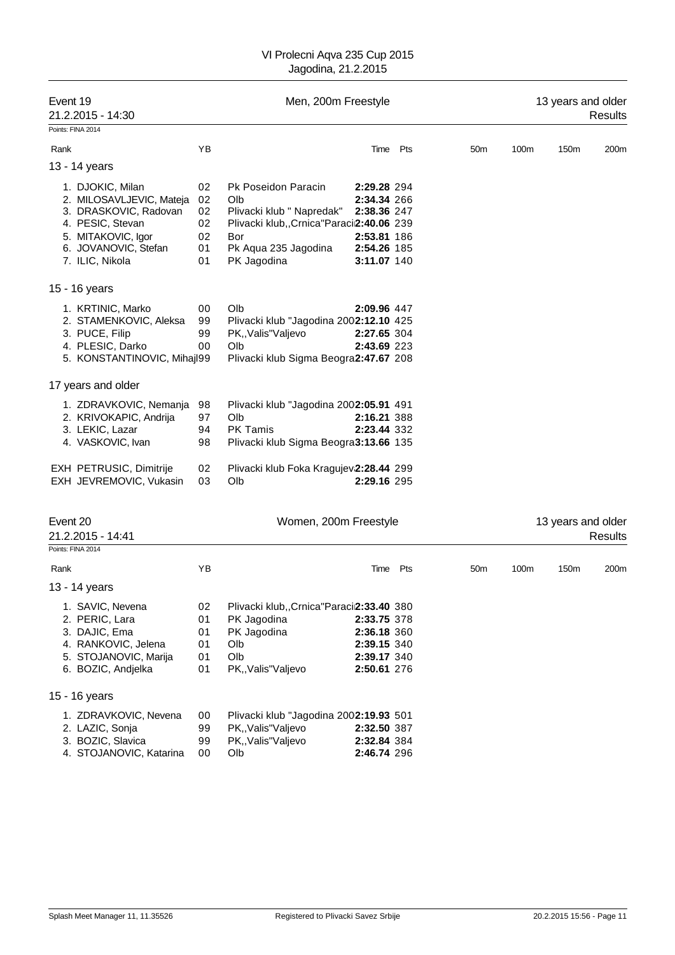| Event 19<br>21.2.2015 - 14:30                                                                                                                              |                                        | Men, 200m Freestyle                                                                                                                                 |                                                                                        |          |                 |      | 13 years and older | Results        |
|------------------------------------------------------------------------------------------------------------------------------------------------------------|----------------------------------------|-----------------------------------------------------------------------------------------------------------------------------------------------------|----------------------------------------------------------------------------------------|----------|-----------------|------|--------------------|----------------|
| Points: FINA 2014                                                                                                                                          |                                        |                                                                                                                                                     |                                                                                        |          |                 |      |                    |                |
| Rank                                                                                                                                                       | YB                                     |                                                                                                                                                     |                                                                                        | Time Pts | 50 <sub>m</sub> | 100m | 150m               | 200m           |
| 13 - 14 years                                                                                                                                              |                                        |                                                                                                                                                     |                                                                                        |          |                 |      |                    |                |
| 1. DJOKIC, Milan<br>2. MILOSAVLJEVIC, Mateja<br>3. DRASKOVIC, Radovan<br>4. PESIC, Stevan<br>5. MITAKOVIC, Igor<br>6. JOVANOVIC, Stefan<br>7. ILIC, Nikola | 02<br>02<br>02<br>02<br>02<br>01<br>01 | Pk Poseidon Paracin<br>Olb<br>Plivacki klub " Napredak"<br>Plivacki klub,, Crnica "Paracii2:40.06 239<br>Bor<br>Pk Aqua 235 Jagodina<br>PK Jagodina | 2:29.28 294<br>2:34.34 266<br>2:38.36 247<br>2:53.81 186<br>2:54.26 185<br>3:11.07 140 |          |                 |      |                    |                |
| 15 - 16 years                                                                                                                                              |                                        |                                                                                                                                                     |                                                                                        |          |                 |      |                    |                |
| 1. KRTINIC, Marko<br>2. STAMENKOVIC, Aleksa<br>3. PUCE, Filip<br>4. PLESIC, Darko<br>5. KONSTANTINOVIC, Mihajl99                                           | 00<br>99<br>99<br>00                   | Olb<br>Plivacki klub "Jagodina 2002:12.10 425<br>PK,, Valis" Valjevo<br>Olb<br>Plivacki klub Sigma Beogra2:47.67 208                                | 2:09.96 447<br>2:27.65 304<br>2:43.69 223                                              |          |                 |      |                    |                |
| 17 years and older                                                                                                                                         |                                        |                                                                                                                                                     |                                                                                        |          |                 |      |                    |                |
| 1. ZDRAVKOVIC, Nemanja<br>2. KRIVOKAPIC, Andrija<br>3. LEKIC, Lazar<br>4. VASKOVIC, Ivan                                                                   | 98<br>97<br>94<br>98                   | Plivacki klub "Jagodina 2002:05.91 491<br>Olb<br><b>PK Tamis</b><br>Plivacki klub Sigma Beogra3:13.66 135                                           | 2:16.21 388<br>2:23.44 332                                                             |          |                 |      |                    |                |
| EXH PETRUSIC, Dimitrije<br>EXH JEVREMOVIC, Vukasin                                                                                                         | 02<br>03                               | Plivacki klub Foka Kragujev 2:28.44 299<br>Olb                                                                                                      | 2:29.16 295                                                                            |          |                 |      |                    |                |
| Event 20<br>21.2.2015 - 14:41                                                                                                                              |                                        | Women, 200m Freestyle                                                                                                                               |                                                                                        |          |                 |      | 13 years and older | <b>Results</b> |
| Points: FINA 2014                                                                                                                                          |                                        |                                                                                                                                                     |                                                                                        |          |                 |      |                    |                |
| Rank                                                                                                                                                       | ΥB                                     |                                                                                                                                                     | Time                                                                                   | Pts      | 50 <sub>m</sub> | 100m | 150m               | 200m           |
| 13 - 14 years                                                                                                                                              |                                        |                                                                                                                                                     |                                                                                        |          |                 |      |                    |                |
| 1. SAVIC, Nevena<br>2. PERIC, Lara<br>3. DAJIC, Ema<br>4. RANKOVIC, Jelena<br>5. STOJANOVIC, Marija<br>6. BOZIC, Andjelka                                  | 02<br>01<br>01<br>01<br>01<br>01       | Plivacki klub,, Crnica "Paraci2:33.40 380<br>PK Jagodina<br>PK Jagodina<br>Olb<br>Olb<br>PK,, Valis" Valjevo                                        | 2:33.75 378<br>2:36.18 360<br>2:39.15 340<br>2:39.17 340<br>2:50.61 276                |          |                 |      |                    |                |
| 15 - 16 years                                                                                                                                              |                                        |                                                                                                                                                     |                                                                                        |          |                 |      |                    |                |
| 1. ZDRAVKOVIC, Nevena<br>2. LAZIC, Sonja<br>3. BOZIC, Slavica<br>4. STOJANOVIC, Katarina                                                                   | 00<br>99<br>99<br>00                   | Plivacki klub "Jagodina 2002:19.93 501<br>PK,, Valis" Valjevo<br>PK,, Valis" Valjevo<br>Olb                                                         | 2:32.50 387<br>2:32.84 384<br>2:46.74 296                                              |          |                 |      |                    |                |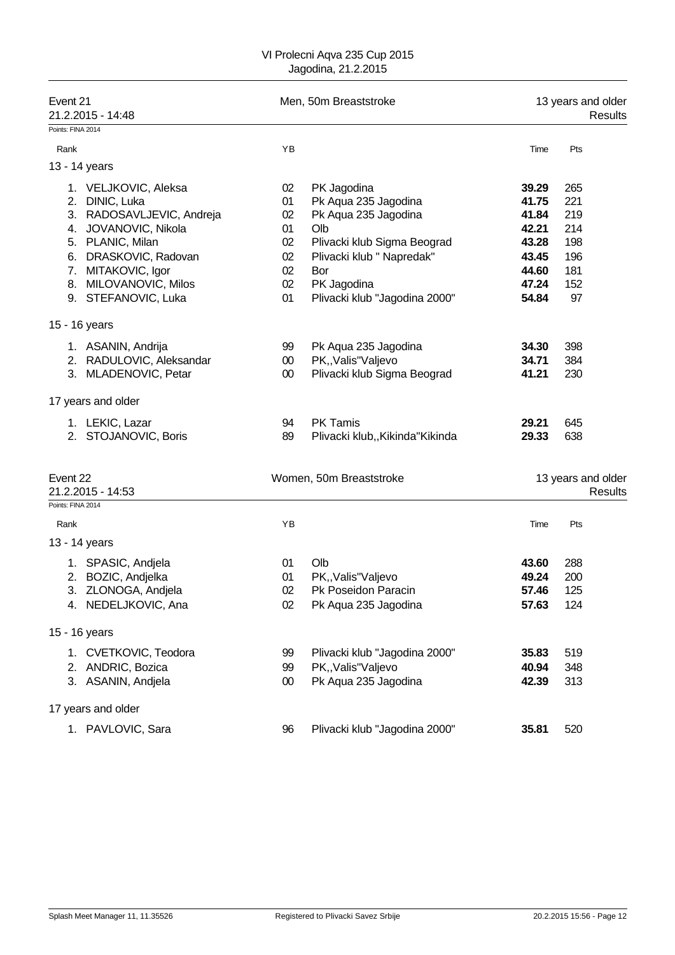| Event 21<br>21.2.2015 - 14:48 |                           |        | Men, 50m Breaststroke            | 13 years and older<br>Results |                               |  |
|-------------------------------|---------------------------|--------|----------------------------------|-------------------------------|-------------------------------|--|
| Points: FINA 2014             |                           |        |                                  |                               |                               |  |
| Rank                          |                           | YB     |                                  | Time                          | Pts                           |  |
| 13 - 14 years                 |                           |        |                                  |                               |                               |  |
|                               | 1. VELJKOVIC, Aleksa      | 02     | PK Jagodina                      | 39.29                         | 265                           |  |
|                               | 2. DINIC, Luka            | 01     | Pk Aqua 235 Jagodina             | 41.75                         | 221                           |  |
|                               | 3. RADOSAVLJEVIC, Andreja | 02     | Pk Aqua 235 Jagodina             | 41.84                         | 219                           |  |
|                               | 4. JOVANOVIC, Nikola      | 01     | Olb                              | 42.21                         | 214                           |  |
|                               | 5. PLANIC, Milan          | 02     | Plivacki klub Sigma Beograd      | 43.28                         | 198                           |  |
|                               | 6. DRASKOVIC, Radovan     | 02     | Plivacki klub " Napredak"        | 43.45                         | 196                           |  |
|                               | 7. MITAKOVIC, Igor        | 02     | Bor                              | 44.60                         | 181                           |  |
|                               | 8. MILOVANOVIC, Milos     | 02     | PK Jagodina                      | 47.24                         | 152                           |  |
|                               | 9. STEFANOVIC, Luka       | 01     | Plivacki klub "Jagodina 2000"    | 54.84                         | 97                            |  |
| 15 - 16 years                 |                           |        |                                  |                               |                               |  |
|                               | 1. ASANIN, Andrija        | 99     | Pk Aqua 235 Jagodina             | 34.30                         | 398                           |  |
|                               | 2. RADULOVIC, Aleksandar  | $00\,$ | PK,, Valis" Valjevo              | 34.71                         | 384                           |  |
|                               | 3. MLADENOVIC, Petar      | $00\,$ | Plivacki klub Sigma Beograd      | 41.21                         | 230                           |  |
|                               | 17 years and older        |        |                                  |                               |                               |  |
|                               | 1. LEKIC, Lazar           | 94     | PK Tamis                         | 29.21                         | 645                           |  |
|                               | 2. STOJANOVIC, Boris      | 89     | Plivacki klub,, Kikinda "Kikinda | 29.33                         | 638                           |  |
|                               |                           |        |                                  |                               |                               |  |
| Event 22                      | 21.2.2015 - 14:53         |        | Women, 50m Breaststroke          |                               | 13 years and older<br>Results |  |
| Points: FINA 2014             |                           |        |                                  |                               |                               |  |
| Rank                          |                           | YB     |                                  | Time                          | Pts                           |  |
| 13 - 14 years                 |                           |        |                                  |                               |                               |  |
|                               | 1. SPASIC, Andjela        | 01     | Olb                              | 43.60                         | 288                           |  |
|                               | 2. BOZIC, Andjelka        | 01     | PK,, Valis" Valjevo              | 49.24                         | 200                           |  |
|                               | 3. ZLONOGA, Andjela       | 02     | Pk Poseidon Paracin              | 57.46                         | 125                           |  |
|                               | 4. NEDELJKOVIC, Ana       | 02     | Pk Aqua 235 Jagodina             | 57.63                         | 124                           |  |
| 15 - 16 years                 |                           |        |                                  |                               |                               |  |
|                               | 1. CVETKOVIC, Teodora     | 99     | Plivacki klub "Jagodina 2000"    | 35.83                         | 519                           |  |
|                               | 2. ANDRIC, Bozica         | 99     | PK,, Valis" Valjevo              | 40.94                         | 348                           |  |
|                               | 3. ASANIN, Andjela        | $00\,$ | Pk Aqua 235 Jagodina             | 42.39                         | 313                           |  |
|                               | 17 years and older        |        |                                  |                               |                               |  |
|                               | 1. PAVLOVIC, Sara         | 96     | Plivacki klub "Jagodina 2000"    | 35.81                         | 520                           |  |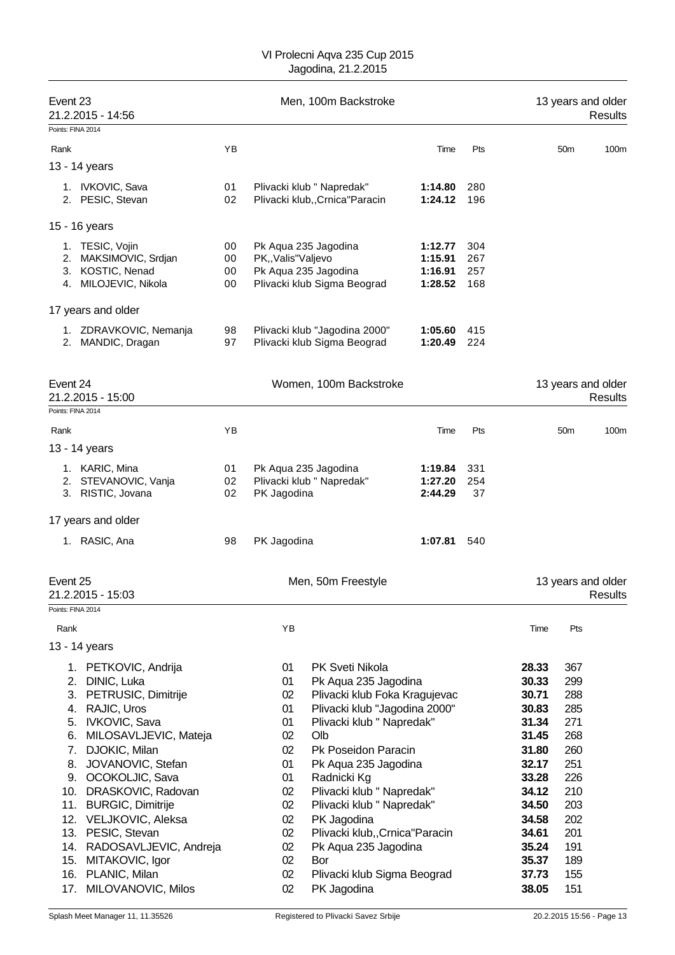|          | Event 23<br>21.2.2015 - 14:56            |          | Men, 100m Backstroke |                                                            |                    |            | 13 years and older<br>Results |                 |                                      |
|----------|------------------------------------------|----------|----------------------|------------------------------------------------------------|--------------------|------------|-------------------------------|-----------------|--------------------------------------|
|          | Points: FINA 2014                        |          |                      |                                                            |                    |            |                               |                 |                                      |
| Rank     |                                          | ΥB       |                      |                                                            | Time               | Pts        |                               | 50 <sub>m</sub> | 100m                                 |
|          | 13 - 14 years                            |          |                      |                                                            |                    |            |                               |                 |                                      |
|          | 1. IVKOVIC, Sava                         | 01       |                      | Plivacki klub " Napredak"                                  | 1:14.80            | 280        |                               |                 |                                      |
|          | 2. PESIC, Stevan                         | 02       |                      | Plivacki klub,, Crnica "Paracin                            | 1:24.12            | 196        |                               |                 |                                      |
|          |                                          |          |                      |                                                            |                    |            |                               |                 |                                      |
|          | 15 - 16 years                            |          |                      |                                                            |                    |            |                               |                 |                                      |
|          | 1. TESIC, Vojin                          | 00       |                      | Pk Aqua 235 Jagodina                                       | 1:12.77            | 304        |                               |                 |                                      |
| 2.       | MAKSIMOVIC, Srdjan                       | 00       | PK,, Valis" Valjevo  |                                                            | 1:15.91            | 267        |                               |                 |                                      |
|          | 3. KOSTIC, Nenad<br>4. MILOJEVIC, Nikola | 00<br>00 |                      | Pk Aqua 235 Jagodina                                       | 1:16.91<br>1:28.52 | 257<br>168 |                               |                 |                                      |
|          |                                          |          |                      | Plivacki klub Sigma Beograd                                |                    |            |                               |                 |                                      |
|          | 17 years and older                       |          |                      |                                                            |                    |            |                               |                 |                                      |
|          | 1. ZDRAVKOVIC, Nemanja                   | 98       |                      | Plivacki klub "Jagodina 2000"                              | 1:05.60            | 415        |                               |                 |                                      |
|          | 2. MANDIC, Dragan                        | 97       |                      | Plivacki klub Sigma Beograd                                | 1:20.49            | 224        |                               |                 |                                      |
|          |                                          |          |                      |                                                            |                    |            |                               |                 |                                      |
| Event 24 | 21.2.2015 - 15:00                        |          |                      | Women, 100m Backstroke                                     |                    |            |                               |                 | 13 years and older<br><b>Results</b> |
|          | Points: FINA 2014                        |          |                      |                                                            |                    |            |                               |                 |                                      |
| Rank     |                                          | ΥB       |                      |                                                            | Time               | Pts        |                               | 50 <sub>m</sub> | 100m                                 |
|          | 13 - 14 years                            |          |                      |                                                            |                    |            |                               |                 |                                      |
|          | 1. KARIC, Mina                           | 01       |                      | Pk Aqua 235 Jagodina                                       | 1:19.84            | 331        |                               |                 |                                      |
|          | 2. STEVANOVIC, Vanja                     | 02       |                      | Plivacki klub " Napredak"                                  | 1:27.20            | 254        |                               |                 |                                      |
|          | 3. RISTIC, Jovana                        | 02       | PK Jagodina          |                                                            | 2:44.29            | 37         |                               |                 |                                      |
|          | 17 years and older                       |          |                      |                                                            |                    |            |                               |                 |                                      |
|          | 1. RASIC, Ana                            | 98       | PK Jagodina          |                                                            | 1:07.81            | 540        |                               |                 |                                      |
|          |                                          |          |                      |                                                            |                    |            |                               |                 |                                      |
| Event 25 |                                          |          |                      | Men, 50m Freestyle                                         |                    |            |                               |                 | 13 years and older                   |
|          | 21.2.2015 - 15:03<br>Points: FINA 2014   |          |                      |                                                            |                    |            |                               |                 | Results                              |
|          |                                          |          |                      |                                                            |                    |            |                               |                 |                                      |
| Rank     |                                          |          | YB                   |                                                            |                    |            | Time                          | Pts             |                                      |
|          | 13 - 14 years                            |          |                      |                                                            |                    |            |                               |                 |                                      |
|          | 1. PETKOVIC, Andrija                     |          | 01                   | PK Sveti Nikola                                            |                    |            | 28.33                         | 367             |                                      |
| 2.       | DINIC, Luka                              |          | 01                   | Pk Aqua 235 Jagodina                                       |                    |            | 30.33                         | 299             |                                      |
| 3.       | PETRUSIC, Dimitrije                      |          | 02                   | Plivacki klub Foka Kragujevac                              |                    |            | 30.71                         | 288             |                                      |
| 4.       | RAJIC, Uros<br>IVKOVIC, Sava             |          | 01                   | Plivacki klub "Jagodina 2000"<br>Plivacki klub " Napredak" |                    |            | 30.83                         | 285<br>271      |                                      |
| 5.<br>6. | MILOSAVLJEVIC, Mateja                    |          | 01<br>02             | Olb                                                        |                    |            | 31.34<br>31.45                | 268             |                                      |
| 7.       | DJOKIC, Milan                            |          | 02                   | Pk Poseidon Paracin                                        |                    |            | 31.80                         | 260             |                                      |
| 8.       | JOVANOVIC, Stefan                        |          | 01                   | Pk Aqua 235 Jagodina                                       |                    |            | 32.17                         | 251             |                                      |
| 9.       | OCOKOLJIC, Sava                          |          | 01                   | Radnicki Kg                                                |                    |            | 33.28                         | 226             |                                      |
| 10.      | DRASKOVIC, Radovan                       |          | 02                   | Plivacki klub " Napredak"                                  |                    |            | 34.12                         | 210             |                                      |
| 11.      | <b>BURGIC, Dimitrije</b>                 |          | 02                   | Plivacki klub " Napredak"                                  |                    |            | 34.50                         | 203             |                                      |
| 12.      | VELJKOVIC, Aleksa                        |          | 02                   | PK Jagodina                                                |                    |            | 34.58                         | 202             |                                      |
| 13.      | PESIC, Stevan                            |          | 02                   | Plivacki klub,, Crnica "Paracin                            |                    |            | 34.61                         | 201             |                                      |
| 14.      | RADOSAVLJEVIC, Andreja                   |          | 02                   | Pk Aqua 235 Jagodina                                       |                    |            | 35.24                         | 191             |                                      |
| 15.      | MITAKOVIC, Igor                          |          | 02                   | Bor                                                        |                    |            | 35.37                         | 189             |                                      |
| 16.      | PLANIC, Milan                            |          | 02                   | Plivacki klub Sigma Beograd                                |                    |            | 37.73                         | 155             |                                      |
| 17.      | MILOVANOVIC, Milos                       |          | 02                   | PK Jagodina                                                |                    |            | 38.05                         | 151             |                                      |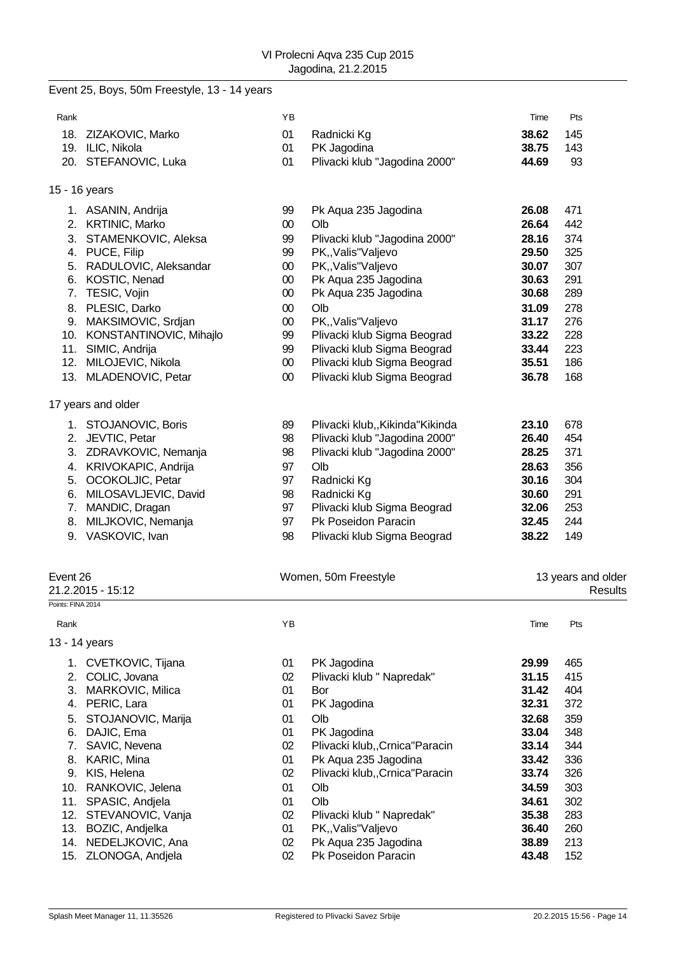# Event 25, Boys, 50m Freestyle, 13 - 14 years

| Rank              |                                     | ΥB               |                                                         | Time           | Pts                           |
|-------------------|-------------------------------------|------------------|---------------------------------------------------------|----------------|-------------------------------|
|                   | 18. ZIZAKOVIC, Marko                | 01               | Radnicki Kg                                             | 38.62          | 145                           |
|                   | 19. ILIC, Nikola                    | 01               | PK Jagodina                                             | 38.75          | 143                           |
|                   | 20. STEFANOVIC, Luka                | 01               | Plivacki klub "Jagodina 2000"                           | 44.69          | 93                            |
|                   | 15 - 16 years                       |                  |                                                         |                |                               |
|                   | 1. ASANIN, Andrija                  | 99               | Pk Aqua 235 Jagodina                                    | 26.08          | 471                           |
|                   | 2. KRTINIC, Marko                   | $00\,$           | Olb                                                     | 26.64          | 442                           |
|                   | 3. STAMENKOVIC, Aleksa              | 99               | Plivacki klub "Jagodina 2000"                           | 28.16          | 374                           |
|                   | 4. PUCE, Filip                      | 99               | PK,, Valis" Valjevo                                     | 29.50          | 325                           |
|                   | 5. RADULOVIC, Aleksandar            | $00\,$           | PK,, Valis" Valjevo                                     | 30.07          | 307                           |
|                   | 6. KOSTIC, Nenad                    | $00\,$           | Pk Aqua 235 Jagodina                                    | 30.63          | 291<br>289                    |
|                   | 7. TESIC, Vojin<br>8. PLESIC, Darko | $00\,$<br>$00\,$ | Pk Aqua 235 Jagodina<br>Olb                             | 30.68<br>31.09 | 278                           |
|                   | 9. MAKSIMOVIC, Srdjan               | $00\,$           | PK,, Valis" Valjevo                                     | 31.17          | 276                           |
|                   | 10. KONSTANTINOVIC, Mihajlo         | 99               | Plivacki klub Sigma Beograd                             | 33.22          | 228                           |
|                   | 11. SIMIC, Andrija                  | 99               | Plivacki klub Sigma Beograd                             | 33.44          | 223                           |
|                   | 12. MILOJEVIC, Nikola               | $00\,$           | Plivacki klub Sigma Beograd                             | 35.51          | 186                           |
|                   | 13. MLADENOVIC, Petar               | $00\,$           | Plivacki klub Sigma Beograd                             | 36.78          | 168                           |
|                   | 17 years and older                  |                  |                                                         |                |                               |
|                   | 1. STOJANOVIC, Boris                | 89               | Plivacki klub,, Kikinda "Kikinda                        | 23.10          | 678                           |
|                   | 2. JEVTIC, Petar                    | 98               | Plivacki klub "Jagodina 2000"                           | 26.40          | 454                           |
|                   | 3. ZDRAVKOVIC, Nemanja              | 98               | Plivacki klub "Jagodina 2000"                           | 28.25          | 371                           |
|                   | 4. KRIVOKAPIC, Andrija              | 97               | Olb                                                     | 28.63          | 356                           |
|                   | 5. OCOKOLJIC, Petar                 | 97               | Radnicki Kg                                             | 30.16          | 304                           |
|                   | 6. MILOSAVLJEVIC, David             | 98               | Radnicki Kg                                             | 30.60          | 291                           |
|                   | 7. MANDIC, Dragan                   | 97               | Plivacki klub Sigma Beograd                             | 32.06          | 253                           |
|                   | 8. MILJKOVIC, Nemanja               | 97               | Pk Poseidon Paracin                                     | 32.45          | 244                           |
|                   | 9. VASKOVIC, Ivan                   | 98               | Plivacki klub Sigma Beograd                             | 38.22          | 149                           |
| Event 26          | 21.2.2015 - 15:12                   |                  | Women, 50m Freestyle                                    |                | 13 years and older<br>Results |
| Points: FINA 2014 |                                     |                  |                                                         |                |                               |
| Rank              |                                     | YB               |                                                         | Time           | Pts                           |
|                   | 13 - 14 years                       |                  |                                                         |                |                               |
|                   | 1. CVETKOVIC, Tijana                | 01               | PK Jagodina                                             | 29.99          | 465                           |
| 2.                | COLIC, Jovana                       | 02               | Plivacki klub " Napredak"                               | 31.15          | 415                           |
| 3.                | MARKOVIC, Milica                    | 01               | Bor                                                     | 31.42          | 404                           |
| 4.                | PERIC, Lara                         | 01               | PK Jagodina                                             | 32.31          | 372                           |
| 5.                | STOJANOVIC, Marija                  | 01               | Olb                                                     | 32.68          | 359                           |
| 6.                | DAJIC, Ema                          | 01               | PK Jagodina                                             | 33.04          | 348                           |
| 7.                | SAVIC, Nevena<br>8. KARIC, Mina     | 02<br>01         | Plivacki klub,, Crnica "Paracin<br>Pk Aqua 235 Jagodina | 33.14<br>33.42 | 344<br>336                    |
|                   | 9. KIS, Helena                      | 02               | Plivacki klub,, Crnica "Paracin                         | 33.74          | 326                           |
|                   | 10. RANKOVIC, Jelena                | 01               | Olb                                                     | 34.59          | 303                           |
|                   | 11. SPASIC, Andjela                 | 01               | Olb                                                     | 34.61          | 302                           |
|                   | 12. STEVANOVIC, Vanja               | 02               | Plivacki klub " Napredak"                               | 35.38          | 283                           |
|                   | 13. BOZIC, Andjelka                 | 01               | PK,, Valis" Valjevo                                     | 36.40          | 260                           |
|                   | 14. NEDELJKOVIC, Ana                | 02               | Pk Aqua 235 Jagodina                                    | 38.89          | 213                           |
|                   | 15. ZLONOGA, Andjela                | 02               | Pk Poseidon Paracin                                     | 43.48          | 152                           |
|                   |                                     |                  |                                                         |                |                               |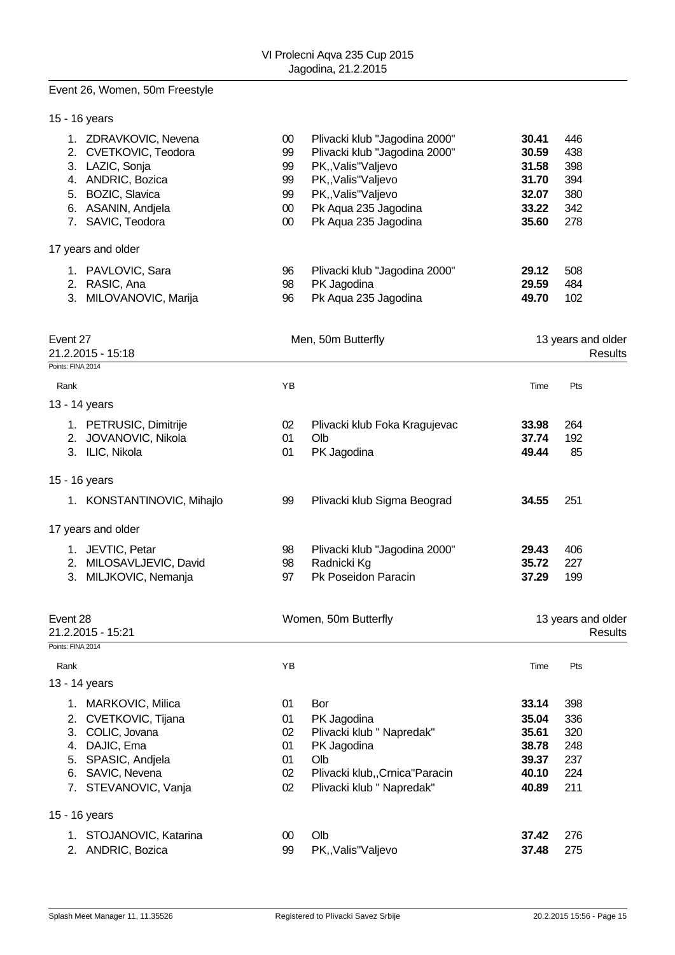# Event 26, Women, 50m Freestyle

| 15 - 16 years                                                                                                                                                                |                                                    |                                                                                                                                                                                     |                                                             |                                               |
|------------------------------------------------------------------------------------------------------------------------------------------------------------------------------|----------------------------------------------------|-------------------------------------------------------------------------------------------------------------------------------------------------------------------------------------|-------------------------------------------------------------|-----------------------------------------------|
| 1. ZDRAVKOVIC, Nevena<br>2. CVETKOVIC, Teodora<br>3. LAZIC, Sonja<br>4. ANDRIC, Bozica<br>5. BOZIC, Slavica<br>6. ASANIN, Andjela<br>7. SAVIC, Teodora<br>17 years and older | $00\,$<br>99<br>99<br>99<br>99<br>$00\,$<br>$00\,$ | Plivacki klub "Jagodina 2000"<br>Plivacki klub "Jagodina 2000"<br>PK,, Valis" Valjevo<br>PK,, Valis" Valjevo<br>PK,, Valis" Valjevo<br>Pk Aqua 235 Jagodina<br>Pk Aqua 235 Jagodina | 30.41<br>30.59<br>31.58<br>31.70<br>32.07<br>33.22<br>35.60 | 446<br>438<br>398<br>394<br>380<br>342<br>278 |
| 1. PAVLOVIC, Sara                                                                                                                                                            | 96                                                 | Plivacki klub "Jagodina 2000"                                                                                                                                                       | 29.12                                                       | 508                                           |
| 2. RASIC, Ana<br>3. MILOVANOVIC, Marija                                                                                                                                      | 98<br>96                                           | PK Jagodina<br>Pk Aqua 235 Jagodina                                                                                                                                                 | 29.59<br>49.70                                              | 484<br>102                                    |
| Event 27<br>21.2.2015 - 15:18                                                                                                                                                |                                                    | Men, 50m Butterfly                                                                                                                                                                  |                                                             | 13 years and older<br>Results                 |
| Points: FINA 2014                                                                                                                                                            |                                                    |                                                                                                                                                                                     |                                                             |                                               |
| Rank                                                                                                                                                                         | YB                                                 |                                                                                                                                                                                     | Time                                                        | Pts                                           |
| 13 - 14 years                                                                                                                                                                |                                                    |                                                                                                                                                                                     |                                                             |                                               |
| 1. PETRUSIC, Dimitrije                                                                                                                                                       | 02                                                 | Plivacki klub Foka Kragujevac                                                                                                                                                       | 33.98                                                       | 264                                           |
| 2. JOVANOVIC, Nikola                                                                                                                                                         | 01                                                 | Olb                                                                                                                                                                                 | 37.74                                                       | 192                                           |
| 3. ILIC, Nikola                                                                                                                                                              | 01                                                 | PK Jagodina                                                                                                                                                                         | 49.44                                                       | 85                                            |
| 15 - 16 years                                                                                                                                                                |                                                    |                                                                                                                                                                                     |                                                             |                                               |
| 1. KONSTANTINOVIC, Mihajlo                                                                                                                                                   | 99                                                 | Plivacki klub Sigma Beograd                                                                                                                                                         | 34.55                                                       | 251                                           |
| 17 years and older                                                                                                                                                           |                                                    |                                                                                                                                                                                     |                                                             |                                               |
| 1. JEVTIC, Petar                                                                                                                                                             | 98                                                 | Plivacki klub "Jagodina 2000"                                                                                                                                                       | 29.43                                                       | 406                                           |
| 2. MILOSAVLJEVIC, David                                                                                                                                                      | 98                                                 | Radnicki Kg                                                                                                                                                                         | 35.72                                                       | 227                                           |
| 3. MILJKOVIC, Nemanja                                                                                                                                                        | 97                                                 | Pk Poseidon Paracin                                                                                                                                                                 | 37.29                                                       | 199                                           |
| Event 28                                                                                                                                                                     |                                                    | Women, 50m Butterfly                                                                                                                                                                |                                                             | 13 years and older                            |
| 21.2.2015 - 15:21                                                                                                                                                            |                                                    |                                                                                                                                                                                     |                                                             | Results                                       |
| Points: FINA 2014                                                                                                                                                            |                                                    |                                                                                                                                                                                     |                                                             |                                               |
| Rank                                                                                                                                                                         | YB                                                 |                                                                                                                                                                                     | Time                                                        | Pts                                           |
| 13 - 14 years                                                                                                                                                                |                                                    |                                                                                                                                                                                     |                                                             |                                               |
| 1. MARKOVIC, Milica                                                                                                                                                          | 01                                                 | Bor                                                                                                                                                                                 | 33.14                                                       | 398                                           |
| 2. CVETKOVIC, Tijana                                                                                                                                                         | 01                                                 | PK Jagodina                                                                                                                                                                         | 35.04                                                       | 336                                           |
| 3. COLIC, Jovana                                                                                                                                                             | 02                                                 | Plivacki klub " Napredak"                                                                                                                                                           | 35.61                                                       | 320                                           |
| 4. DAJIC, Ema                                                                                                                                                                | 01                                                 | PK Jagodina                                                                                                                                                                         | 38.78                                                       | 248                                           |
| 5. SPASIC, Andjela                                                                                                                                                           | 01                                                 | Olb                                                                                                                                                                                 | 39.37                                                       | 237                                           |
| 6. SAVIC, Nevena                                                                                                                                                             | 02                                                 | Plivacki klub,, Crnica "Paracin                                                                                                                                                     | 40.10                                                       | 224                                           |
| 7. STEVANOVIC, Vanja                                                                                                                                                         | 02                                                 | Plivacki klub " Napredak"                                                                                                                                                           | 40.89                                                       | 211                                           |
| 15 - 16 years                                                                                                                                                                |                                                    |                                                                                                                                                                                     |                                                             |                                               |
| STOJANOVIC, Katarina<br>1.                                                                                                                                                   | $00\,$                                             | Olb                                                                                                                                                                                 | 37.42                                                       | 276                                           |
| 2. ANDRIC, Bozica                                                                                                                                                            | 99                                                 | PK,, Valis" Valjevo                                                                                                                                                                 | 37.48                                                       | 275                                           |
|                                                                                                                                                                              |                                                    |                                                                                                                                                                                     |                                                             |                                               |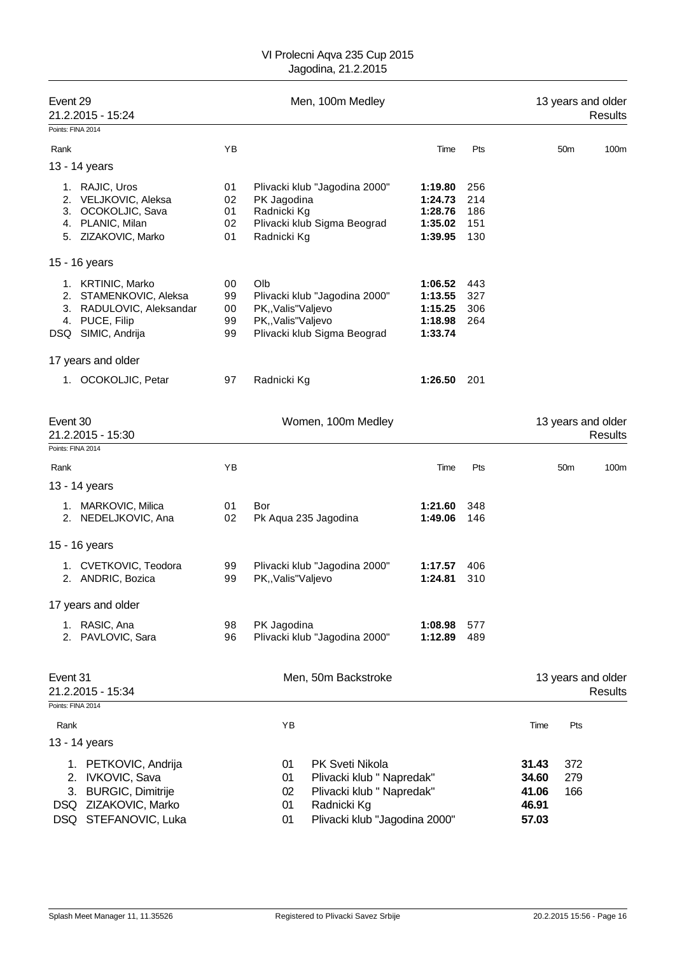| Event 29<br>21.2.2015 - 15:24                                                                                    |                            | Men, 100m Medley |                                                                                                                                                         |                                                     |                                 |                                           | 13 years and older<br>Results |                               |  |
|------------------------------------------------------------------------------------------------------------------|----------------------------|------------------|---------------------------------------------------------------------------------------------------------------------------------------------------------|-----------------------------------------------------|---------------------------------|-------------------------------------------|-------------------------------|-------------------------------|--|
| Points: FINA 2014                                                                                                |                            |                  |                                                                                                                                                         |                                                     |                                 |                                           |                               |                               |  |
| Rank                                                                                                             | ΥB                         |                  |                                                                                                                                                         | Time                                                | Pts                             |                                           | 50 <sub>m</sub>               | 100m                          |  |
| 13 - 14 years                                                                                                    |                            |                  |                                                                                                                                                         |                                                     |                                 |                                           |                               |                               |  |
| 1. RAJIC, Uros<br>2. VELJKOVIC, Aleksa<br>3. OCOKOLJIC, Sava<br>4. PLANIC, Milan<br>5. ZIZAKOVIC, Marko          | 01<br>02<br>01<br>02<br>01 |                  | Plivacki klub "Jagodina 2000"<br>PK Jagodina<br>Radnicki Kg<br>Plivacki klub Sigma Beograd<br>Radnicki Kg                                               | 1:19.80<br>1:24.73<br>1:28.76<br>1:35.02<br>1:39.95 | 256<br>214<br>186<br>151<br>130 |                                           |                               |                               |  |
| 15 - 16 years                                                                                                    |                            |                  |                                                                                                                                                         |                                                     |                                 |                                           |                               |                               |  |
| 1. KRTINIC, Marko<br>2. STAMENKOVIC, Aleksa<br>3. RADULOVIC, Aleksandar<br>4. PUCE, Filip<br>DSQ SIMIC, Andrija  | 00<br>99<br>00<br>99<br>99 |                  | Olb<br>Plivacki klub "Jagodina 2000"<br>PK,, Valis" Valjevo<br>PK,, Valis" Valjevo<br>Plivacki klub Sigma Beograd                                       | 1:06.52<br>1:13.55<br>1:15.25<br>1:18.98<br>1:33.74 | 443<br>327<br>306<br>264        |                                           |                               |                               |  |
| 17 years and older                                                                                               |                            |                  |                                                                                                                                                         |                                                     |                                 |                                           |                               |                               |  |
| 1. OCOKOLJIC, Petar                                                                                              | 97                         |                  | Radnicki Kg                                                                                                                                             | 1:26.50                                             | 201                             |                                           |                               |                               |  |
| Event 30<br>21.2.2015 - 15:30<br>Points: FINA 2014                                                               |                            |                  | Women, 100m Medley                                                                                                                                      |                                                     |                                 |                                           |                               | 13 years and older<br>Results |  |
| Rank                                                                                                             | ΥB                         |                  |                                                                                                                                                         | Time                                                | Pts                             |                                           | 50 <sub>m</sub>               | 100m                          |  |
| 13 - 14 years                                                                                                    |                            |                  |                                                                                                                                                         |                                                     |                                 |                                           |                               |                               |  |
| 1. MARKOVIC, Milica<br>2. NEDELJKOVIC, Ana                                                                       | 01<br>02                   |                  | Bor<br>Pk Aqua 235 Jagodina                                                                                                                             | 1:21.60<br>1:49.06                                  | 348<br>146                      |                                           |                               |                               |  |
| 15 - 16 years                                                                                                    |                            |                  |                                                                                                                                                         |                                                     |                                 |                                           |                               |                               |  |
| 1. CVETKOVIC, Teodora<br>2. ANDRIC, Bozica                                                                       | 99<br>99                   |                  | Plivacki klub "Jagodina 2000"<br>PK,, Valis" Valjevo                                                                                                    | 1:17.57<br>1:24.81                                  | 406<br>310                      |                                           |                               |                               |  |
| 17 years and older                                                                                               |                            |                  |                                                                                                                                                         |                                                     |                                 |                                           |                               |                               |  |
| 1. RASIC, Ana<br>2. PAVLOVIC, Sara                                                                               | 98<br>96                   |                  | PK Jagodina<br>Plivacki klub "Jagodina 2000"                                                                                                            | 1:08.98<br>1:12.89                                  | 577<br>489                      |                                           |                               |                               |  |
| Event 31<br>21.2.2015 - 15:34                                                                                    |                            |                  | Men, 50m Backstroke                                                                                                                                     |                                                     |                                 |                                           |                               | 13 years and older<br>Results |  |
| Points: FINA 2014                                                                                                |                            |                  |                                                                                                                                                         |                                                     |                                 |                                           |                               |                               |  |
| Rank                                                                                                             |                            |                  | YB                                                                                                                                                      |                                                     |                                 | Time                                      | Pts                           |                               |  |
| 13 - 14 years                                                                                                    |                            |                  |                                                                                                                                                         |                                                     |                                 |                                           |                               |                               |  |
| 1. PETKOVIC, Andrija<br>2. IVKOVIC, Sava<br>3. BURGIC, Dimitrije<br>DSQ ZIZAKOVIC, Marko<br>DSQ STEFANOVIC, Luka |                            |                  | PK Sveti Nikola<br>01<br>Plivacki klub " Napredak"<br>01<br>Plivacki klub " Napredak"<br>02<br>Radnicki Kg<br>01<br>Plivacki klub "Jagodina 2000"<br>01 |                                                     |                                 | 31.43<br>34.60<br>41.06<br>46.91<br>57.03 | 372<br>279<br>166             |                               |  |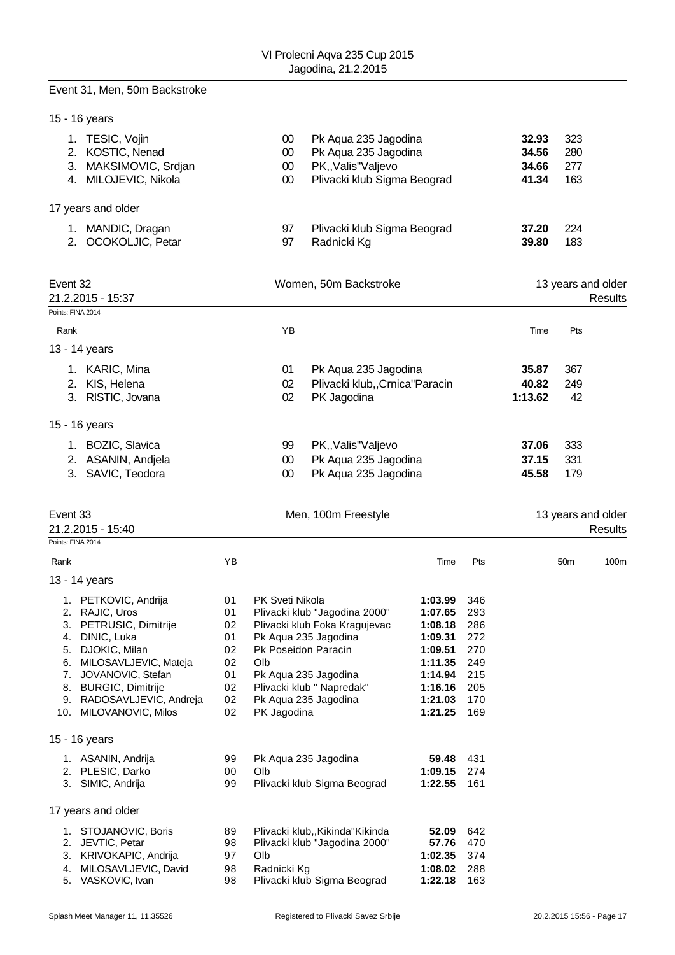# Event 31, Men, 50m Backstroke

|                   | 15 - 16 years                                                                        |          |                                      |                                                                                                    |                    |            |                                  |                          |         |
|-------------------|--------------------------------------------------------------------------------------|----------|--------------------------------------|----------------------------------------------------------------------------------------------------|--------------------|------------|----------------------------------|--------------------------|---------|
|                   | 1. TESIC, Vojin<br>2. KOSTIC, Nenad<br>3. MAKSIMOVIC, Srdjan<br>4. MILOJEVIC, Nikola |          | $00\,$<br>$00\,$<br>$00\,$<br>$00\,$ | Pk Aqua 235 Jagodina<br>Pk Aqua 235 Jagodina<br>PK,, Valis" Valjevo<br>Plivacki klub Sigma Beograd |                    |            | 32.93<br>34.56<br>34.66<br>41.34 | 323<br>280<br>277<br>163 |         |
|                   | 17 years and older                                                                   |          |                                      |                                                                                                    |                    |            |                                  |                          |         |
|                   | 1. MANDIC, Dragan<br>2. OCOKOLJIC, Petar                                             |          | 97<br>97                             | Plivacki klub Sigma Beograd<br>Radnicki Kg                                                         |                    |            | 37.20<br>39.80                   | 224<br>183               |         |
| Event 32          | 21.2.2015 - 15:37                                                                    |          |                                      | Women, 50m Backstroke                                                                              |                    |            |                                  | 13 years and older       | Results |
| Points: FINA 2014 |                                                                                      |          |                                      |                                                                                                    |                    |            |                                  |                          |         |
| Rank              |                                                                                      |          | YB                                   |                                                                                                    |                    |            | Time                             | Pts                      |         |
|                   | 13 - 14 years                                                                        |          |                                      |                                                                                                    |                    |            |                                  |                          |         |
|                   | 1. KARIC, Mina                                                                       |          | 01                                   | Pk Aqua 235 Jagodina                                                                               |                    |            | 35.87                            | 367                      |         |
|                   | 2. KIS, Helena<br>3. RISTIC, Jovana                                                  |          | 02<br>02                             | Plivacki klub,, Crnica "Paracin<br>PK Jagodina                                                     |                    |            | 40.82<br>1:13.62                 | 249<br>42                |         |
|                   | 15 - 16 years                                                                        |          |                                      |                                                                                                    |                    |            |                                  |                          |         |
|                   | 1. BOZIC, Slavica                                                                    |          | 99                                   | PK,, Valis" Valjevo                                                                                |                    |            | 37.06                            | 333                      |         |
|                   | 2. ASANIN, Andjela                                                                   |          | $00\,$                               | Pk Aqua 235 Jagodina                                                                               |                    |            | 37.15                            | 331                      |         |
|                   | 3. SAVIC, Teodora                                                                    |          | $00\,$                               | Pk Aqua 235 Jagodina                                                                               |                    |            | 45.58                            | 179                      |         |
| Event 33          | 21.2.2015 - 15:40                                                                    |          |                                      | Men, 100m Freestyle                                                                                |                    |            |                                  | 13 years and older       | Results |
| Points: FINA 2014 |                                                                                      | YB       |                                      |                                                                                                    |                    |            |                                  |                          |         |
| Rank              |                                                                                      |          |                                      |                                                                                                    | Time               | Pts        |                                  | 50 <sub>m</sub>          | 100m    |
|                   | 13 - 14 years                                                                        |          |                                      |                                                                                                    |                    |            |                                  |                          |         |
|                   | 1. PETKOVIC, Andrija<br>2. RAJIC, Uros                                               | 01<br>01 | PK Sveti Nikola                      | Plivacki klub "Jagodina 2000"                                                                      | 1:03.99<br>1:07.65 | 346<br>293 |                                  |                          |         |
|                   | 3. PETRUSIC, Dimitrije                                                               | 02       |                                      | Plivacki klub Foka Kragujevac                                                                      | 1:08.18            | 286        |                                  |                          |         |
| 4.                | DINIC, Luka                                                                          | 01       |                                      | Pk Aqua 235 Jagodina                                                                               | 1:09.31            | 272        |                                  |                          |         |
| 5.<br>6.          | DJOKIC, Milan<br>MILOSAVLJEVIC, Mateja                                               | 02<br>02 | Olb                                  | Pk Poseidon Paracin                                                                                | 1:09.51<br>1:11.35 | 270<br>249 |                                  |                          |         |
| 7.                | JOVANOVIC, Stefan                                                                    | 01       |                                      | Pk Aqua 235 Jagodina                                                                               | 1:14.94            | 215        |                                  |                          |         |
| 8.                | <b>BURGIC, Dimitrije</b>                                                             | 02       |                                      | Plivacki klub " Napredak"                                                                          | 1:16.16            | 205        |                                  |                          |         |
|                   | 9. RADOSAVLJEVIC, Andreja<br>10. MILOVANOVIC, Milos                                  | 02<br>02 | PK Jagodina                          | Pk Aqua 235 Jagodina                                                                               | 1:21.03<br>1:21.25 | 170<br>169 |                                  |                          |         |
|                   | 15 - 16 years                                                                        |          |                                      |                                                                                                    |                    |            |                                  |                          |         |
|                   | 1. ASANIN, Andrija                                                                   | 99       |                                      | Pk Aqua 235 Jagodina                                                                               | 59.48              | 431        |                                  |                          |         |
|                   | 2. PLESIC, Darko                                                                     | 00       | Olb                                  |                                                                                                    | 1:09.15            | 274        |                                  |                          |         |
|                   | 3. SIMIC, Andrija                                                                    | 99       |                                      | Plivacki klub Sigma Beograd                                                                        | 1:22.55            | 161        |                                  |                          |         |
|                   | 17 years and older                                                                   |          |                                      |                                                                                                    |                    |            |                                  |                          |         |
|                   | 1. STOJANOVIC, Boris                                                                 | 89       |                                      | Plivacki klub,, Kikinda "Kikinda                                                                   | 52.09              | 642        |                                  |                          |         |
| 2.<br>3.          | JEVTIC, Petar<br>KRIVOKAPIC, Andrija                                                 | 98<br>97 | Olb                                  | Plivacki klub "Jagodina 2000"                                                                      | 57.76<br>1:02.35   | 470<br>374 |                                  |                          |         |
| 4.                | MILOSAVLJEVIC, David                                                                 | 98       | Radnicki Kg                          |                                                                                                    | 1:08.02            | 288        |                                  |                          |         |
| 5.                | VASKOVIC, Ivan                                                                       | 98       |                                      | Plivacki klub Sigma Beograd                                                                        | 1:22.18            | 163        |                                  |                          |         |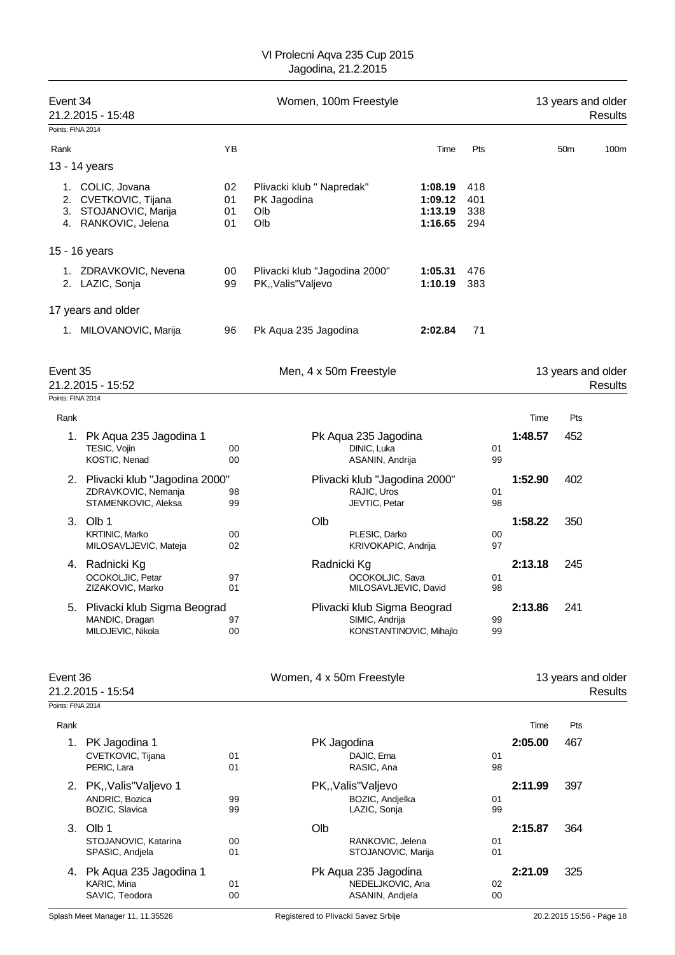| Event 34<br>21.2.2015 - 15:48 |                                                            | Women, 100m Freestyle<br>13 years and older |                                                        |                    |            |                                      | <b>Results</b>  |                               |
|-------------------------------|------------------------------------------------------------|---------------------------------------------|--------------------------------------------------------|--------------------|------------|--------------------------------------|-----------------|-------------------------------|
| Points: FINA 2014             |                                                            |                                             |                                                        |                    |            |                                      |                 |                               |
| Rank                          |                                                            | ΥB                                          |                                                        | Time               | Pts        |                                      | 50 <sub>m</sub> | 100m                          |
|                               | 13 - 14 years                                              |                                             |                                                        |                    |            |                                      |                 |                               |
|                               | 1. COLIC, Jovana                                           | 02                                          | Plivacki klub " Napredak"                              | 1:08.19            | 418        |                                      |                 |                               |
|                               | 2. CVETKOVIC, Tijana<br>3. STOJANOVIC, Marija              | 01<br>01                                    | PK Jagodina<br>Olb                                     | 1:09.12<br>1:13.19 | 401<br>338 |                                      |                 |                               |
|                               | 4. RANKOVIC, Jelena                                        | 01                                          | Olb                                                    | 1:16.65            | 294        |                                      |                 |                               |
|                               | 15 - 16 years                                              |                                             |                                                        |                    |            |                                      |                 |                               |
|                               | 1. ZDRAVKOVIC, Nevena<br>2. LAZIC, Sonja                   | 00<br>99                                    | Plivacki klub "Jagodina 2000"<br>PK,, Valis" Valjevo   | 1:05.31<br>1:10.19 | 476<br>383 |                                      |                 |                               |
|                               | 17 years and older                                         |                                             |                                                        |                    |            |                                      |                 |                               |
|                               | 1. MILOVANOVIC, Marija                                     | 96                                          | Pk Aqua 235 Jagodina                                   | 2:02.84            | 71         |                                      |                 |                               |
| Event 35                      | 21.2.2015 - 15:52                                          |                                             | Men, 4 x 50m Freestyle                                 |                    |            |                                      |                 | 13 years and older<br>Results |
| Points: FINA 2014             |                                                            |                                             |                                                        |                    |            |                                      |                 |                               |
| Rank                          |                                                            |                                             |                                                        |                    |            | Time                                 | Pts             |                               |
|                               | 1. Pk Aqua 235 Jagodina 1<br>TESIC, Vojin<br>KOSTIC, Nenad | 00<br>00                                    | Pk Aqua 235 Jagodina<br>DINIC, Luka<br>ASANIN, Andrija |                    |            | 1:48.57<br>01<br>99                  | 452             |                               |
|                               | 2. Plivacki klub "Jagodina 2000"<br>ZDRAVKOVIC, Nemanja    | 98                                          | Plivacki klub "Jagodina 2000"<br>RAJIC, Uros           |                    |            | 1:52.90<br>01                        | 402             |                               |
|                               | STAMENKOVIC, Aleksa                                        | 99                                          | JEVTIC, Petar                                          |                    |            | 98                                   |                 |                               |
|                               | 3. Olb 1<br><b>KRTINIC, Marko</b><br>MILOSAVLJEVIC, Mateja | 00<br>02                                    | Olb<br>PLESIC, Darko<br>KRIVOKAPIC, Andrija            |                    |            | 1:58.22<br>00<br>97                  | 350             |                               |
|                               | 4. Radnicki Kg                                             |                                             | Radnicki Kg                                            |                    |            | 2:13.18                              | 245             |                               |
|                               | OCOKOLJIC, Petar<br>ZIZAKOVIC, Marko                       | 97<br>01                                    | OCOKOLJIC, Sava<br>MILOSAVLJEVIC, David                |                    |            | 01<br>98                             |                 |                               |
| 5.                            | Plivacki klub Sigma Beograd                                |                                             | Plivacki klub Sigma Beograd                            |                    |            | 2:13.86                              | 241             |                               |
|                               | MANDIC, Dragan<br>MILOJEVIC, Nikola                        | 97<br>00                                    | SIMIC, Andrija<br>KONSTANTINOVIC, Mihajlo              |                    |            | 99<br>99                             |                 |                               |
| Event 36<br>21.2.2015 - 15:54 |                                                            | Women, 4 x 50m Freestyle                    |                                                        |                    |            | 13 years and older<br><b>Results</b> |                 |                               |
|                               | Points: FINA 2014                                          |                                             |                                                        |                    |            |                                      |                 |                               |
| Rank                          |                                                            |                                             |                                                        |                    |            | Time                                 | Pts             |                               |
|                               | 1. PK Jagodina 1                                           |                                             | PK Jagodina                                            |                    |            | 2:05.00                              | 467             |                               |
|                               | CVETKOVIC, Tijana<br>PERIC, Lara                           | 01<br>01                                    | DAJIC, Ema<br>RASIC, Ana                               |                    |            | 01<br>98                             |                 |                               |
|                               | 2. PK,, Valis" Valjevo 1                                   |                                             | PK,, Valis" Valjevo                                    |                    |            | 2:11.99                              | 397             |                               |
|                               | ANDRIC, Bozica<br>BOZIC, Slavica                           | 99<br>99                                    | BOZIC, Andjelka<br>LAZIC, Sonja                        |                    |            | 01<br>99                             |                 |                               |
|                               | 3. Olb 1                                                   |                                             | Olb                                                    |                    |            | 2:15.87                              | 364             |                               |
|                               | STOJANOVIC, Katarina<br>SPASIC, Andjela                    | 00<br>01                                    | RANKOVIC, Jelena<br>STOJANOVIC, Marija                 |                    |            | 01<br>01                             |                 |                               |
|                               | 4. Pk Aqua 235 Jagodina 1                                  |                                             | Pk Aqua 235 Jagodina                                   |                    |            | 2:21.09                              | 325             |                               |
|                               | KARIC, Mina<br>SAVIC, Teodora                              | 01<br>00                                    | NEDELJKOVIC, Ana<br>ASANIN, Andjela                    |                    |            | 02<br>00                             |                 |                               |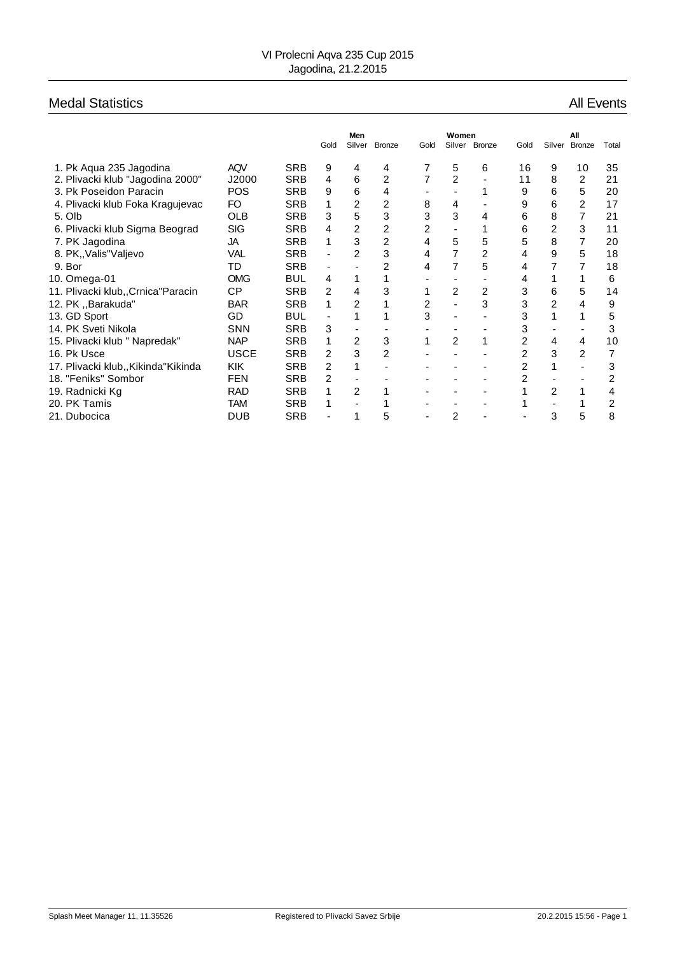# Medal Statistics **All Events** All Events

|                                     |             |            | Gold                     | Men<br>Silver  | <b>Bronze</b> | Gold           | Women<br>Silver | <b>Bronze</b> | Gold           | Silver         | All<br><b>Bronze</b> | Total |
|-------------------------------------|-------------|------------|--------------------------|----------------|---------------|----------------|-----------------|---------------|----------------|----------------|----------------------|-------|
| 1. Pk Agua 235 Jagodina             | <b>AQV</b>  | <b>SRB</b> | 9                        | 4              | 4             |                | 5               | 6             | 16             | 9              | 10                   | 35    |
| 2. Plivacki klub "Jagodina 2000"    | J2000       | <b>SRB</b> | 4                        | 6              | 2             |                | $\overline{c}$  |               | 11             | 8              | 2                    | 21    |
| 3. Pk Poseidon Paracin              | <b>POS</b>  | <b>SRB</b> | 9                        | 6              | 4             |                |                 |               | 9              | 6              | 5                    | 20    |
| 4. Plivacki klub Foka Kragujevac    | FO          | <b>SRB</b> | 1                        | $\overline{2}$ | 2             | 8              | 4               |               | 9              | 6              | 2                    | 17    |
| 5. Olb                              | <b>OLB</b>  | <b>SRB</b> | 3                        | 5              | 3             | 3              | 3               | 4             | 6              | 8              |                      | 21    |
| 6. Plivacki klub Sigma Beograd      | <b>SIG</b>  | <b>SRB</b> | 4                        | $\overline{2}$ | 2             | $\overline{2}$ |                 |               | 6              | 2              | 3                    | 11    |
| 7. PK Jagodina                      | JA          | <b>SRB</b> | 1                        | 3              | 2             | 4              | 5               | 5             | 5              | 8              | 7                    | 20    |
| 8. PK, Valis "Valjevo               | VAL         | <b>SRB</b> | $\blacksquare$           | $\overline{2}$ | 3             | 4              |                 | 2             | 4              | 9              | 5                    | 18    |
| 9. Bor                              | TD          | <b>SRB</b> | $\overline{\phantom{a}}$ |                | 2             | 4              | 7               | 5             | 4              | 7              |                      | 18    |
| 10. Omega-01                        | <b>OMG</b>  | <b>BUL</b> | 4                        | 1              |               |                |                 |               | 4              |                |                      | 6     |
| 11. Plivacki klub,, Crnica "Paracin | CP          | <b>SRB</b> | 2                        | 4              | 3             |                | 2               | 2             | 3              | 6              | 5                    | 14    |
| 12. PK "Barakuda"                   | <b>BAR</b>  | <b>SRB</b> | 1                        | $\overline{2}$ |               | $\overline{2}$ |                 | 3             | 3              | 2              | 4                    | 9     |
| 13. GD Sport                        | GD          | <b>BUL</b> |                          |                |               | 3              |                 |               | 3              |                |                      | 5     |
| 14. PK Sveti Nikola                 | <b>SNN</b>  | <b>SRB</b> | 3                        |                |               |                |                 |               | 3              |                |                      | 3     |
| 15. Plivacki klub " Napredak"       | <b>NAP</b>  | <b>SRB</b> | 1                        | 2              | 3             |                | $\overline{2}$  |               | $\overline{2}$ | 4              | 4                    | 10    |
| 16. Pk Usce                         | <b>USCE</b> | <b>SRB</b> | 2                        | 3              | 2             |                |                 |               | 2              | 3              | 2                    |       |
| 17. Plivacki klub,,Kikinda"Kikinda  | <b>KIK</b>  | <b>SRB</b> | $\overline{2}$           | 1              |               |                |                 |               | 2              |                |                      | 3     |
| 18. "Feniks" Sombor                 | <b>FEN</b>  | <b>SRB</b> | 2                        |                |               |                |                 |               | 2              |                |                      | 2     |
| 19. Radnicki Kg                     | <b>RAD</b>  | <b>SRB</b> | 1                        | 2              |               |                |                 | -             |                | $\overline{2}$ |                      | 4     |
| 20. PK Tamis                        | TAM         | <b>SRB</b> | 1                        |                |               |                |                 |               |                |                |                      | 2     |
| 21. Dubocica                        | DUB         | <b>SRB</b> |                          | 1              | 5             |                | 2               |               |                | 3              | 5                    | 8     |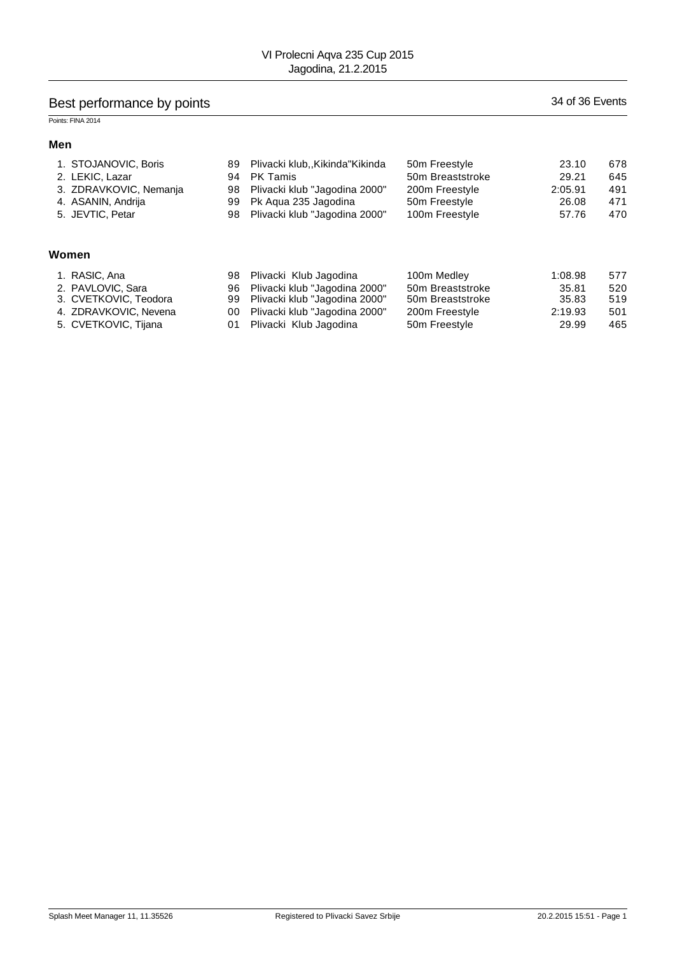# Best performance by points 34 of 36 Events

## Points: FINA 2014

#### **Men**

| 1. STOJANOVIC, Boris   | 89 | Plivacki klub,,Kikinda"Kikinda | 50 <sub>m</sub> Freestyle | 23.10   | 678 |
|------------------------|----|--------------------------------|---------------------------|---------|-----|
| 2. LEKIC, Lazar        | 94 | <b>PK Tamis</b>                | 50m Breaststroke          | 29.21   | 645 |
| 3. ZDRAVKOVIC, Nemanja | 98 | Plivacki klub "Jagodina 2000"  | 200m Freestyle            | 2:05.91 | 491 |
| 4. ASANIN, Andrija     | 99 | Pk Agua 235 Jagodina           | 50m Freestyle             | 26.08   | 471 |
| 5. JEVTIC, Petar       | 98 | Plivacki klub "Jagodina 2000"  | 100m Freestyle            | 57.76   | 470 |
| Women                  |    |                                |                           |         |     |
| 1. RASIC, Ana          | 98 | Plivacki Klub Jagodina         | 100m Medley               | 1:08.98 | 577 |
| 2. PAVLOVIC, Sara      | 96 | Plivacki klub "Jagodina 2000"  | 50m Breaststroke          | 35.81   | 520 |
| 3. CVETKOVIC, Teodora  | 99 | Plivacki klub "Jagodina 2000"  | 50m Breaststroke          | 35.83   | 519 |
| 4. ZDRAVKOVIC, Nevena  | 00 | Plivacki klub "Jagodina 2000"  | 200m Freestyle            | 2:19.93 | 501 |

5. CVETKOVIC, Tijana 01 Plivacki Klub Jagodina 50m Freestyle 29.99 465